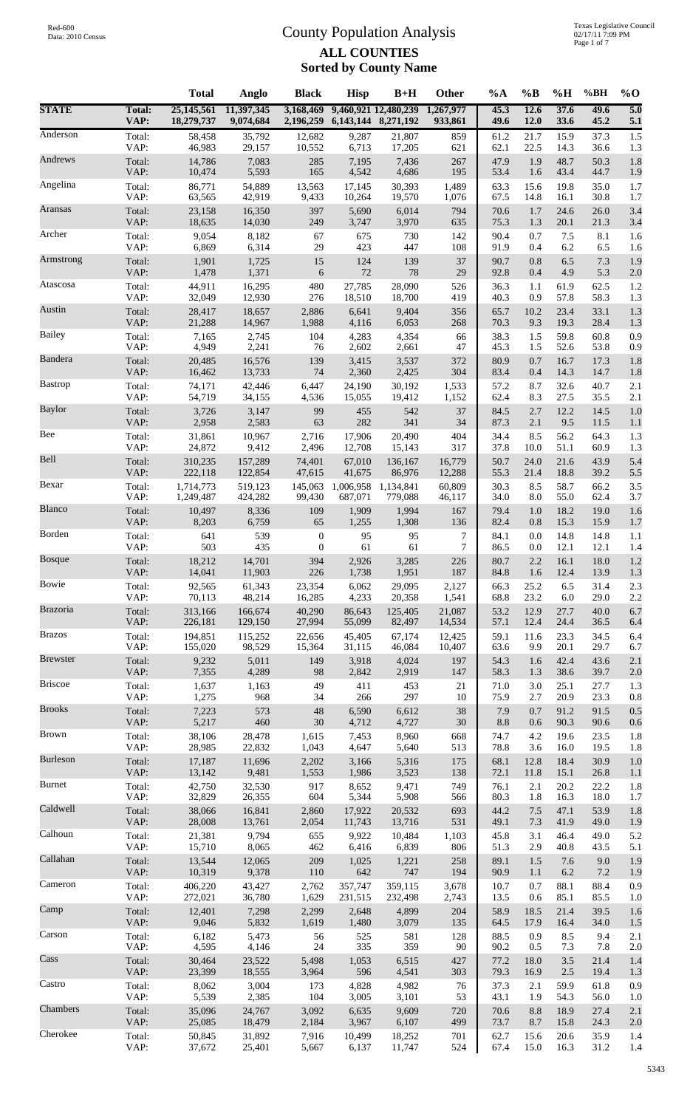|                 |                       | <b>Total</b>             | Anglo                   | <b>Black</b>           | <b>Hisp</b>         | $B+H$                | Other                | %A           | $\%B$        | %H           | %BH          | $%$ <sup>O</sup>        |
|-----------------|-----------------------|--------------------------|-------------------------|------------------------|---------------------|----------------------|----------------------|--------------|--------------|--------------|--------------|-------------------------|
| <b>STATE</b>    | <b>Total:</b><br>VAP: | 25,145,561<br>18,279,737 | 11,397,345<br>9,074,684 | 3,168,469<br>2,196,259 | 6,143,144 8,271,192 | 9,460,921 12,480,239 | 1,267,977<br>933,861 | 45.3<br>49.6 | 12.6<br>12.0 | 37.6<br>33.6 | 49.6<br>45.2 | $\overline{5.0}$<br>5.1 |
| Anderson        | Total:                | 58,458                   | 35,792                  | 12,682                 | 9,287               | 21,807               | 859                  | 61.2         | 21.7         | 15.9         | 37.3         | 1.5                     |
|                 | VAP:                  | 46,983                   | 29,157                  | 10,552                 | 6,713               | 17,205               | 621                  | 62.1         | 22.5         | 14.3         | 36.6         | 1.3                     |
| Andrews         | Total:                | 14,786                   | 7,083                   | 285                    | 7,195               | 7,436                | 267                  | 47.9         | 1.9          | 48.7         | 50.3         | 1.8                     |
|                 | VAP:                  | 10,474                   | 5,593                   | 165                    | 4,542               | 4,686                | 195                  | 53.4         | 1.6          | 43.4         | 44.7         | 1.9                     |
| Angelina        | Total:                | 86,771                   | 54,889                  | 13,563                 | 17,145              | 30,393               | 1,489                | 63.3         | 15.6         | 19.8         | 35.0         | 1.7                     |
|                 | VAP:                  | 63,565                   | 42,919                  | 9,433                  | 10,264              | 19,570               | 1,076                | 67.5         | 14.8         | 16.1         | 30.8         | 1.7                     |
| Aransas         | Total:<br>VAP:        | 23,158                   | 16,350                  | 397<br>249             | 5,690               | 6,014                | 794                  | 70.6         | 1.7<br>1.3   | 24.6         | 26.0         | 3.4                     |
| Archer          | Total:                | 18,635<br>9,054          | 14,030<br>8,182         | 67                     | 3,747<br>675        | 3,970<br>730         | 635<br>142           | 75.3<br>90.4 | 0.7          | 20.1<br>7.5  | 21.3<br>8.1  | 3.4<br>1.6              |
| Armstrong       | VAP:                  | 6,869                    | 6,314                   | 29                     | 423                 | 447                  | 108                  | 91.9         | 0.4          | 6.2          | 6.5          | 1.6                     |
|                 | Total:                | 1,901                    | 1,725                   | 15                     | 124                 | 139                  | 37                   | 90.7         | 0.8          | 6.5          | 7.3          | 1.9                     |
| Atascosa        | VAP:                  | 1,478                    | 1,371                   | 6                      | $72\,$              | 78                   | 29                   | 92.8         | 0.4          | 4.9          | 5.3          | 2.0                     |
|                 | Total:                | 44,911                   | 16,295                  | 480                    | 27,785              | 28,090               | 526                  | 36.3         | 1.1          | 61.9         | 62.5         | 1.2                     |
| Austin          | VAP:                  | 32,049                   | 12,930                  | 276                    | 18,510              | 18,700               | 419                  | 40.3         | 0.9          | 57.8         | 58.3         | 1.3                     |
|                 | Total:                | 28,417                   | 18,657                  | 2,886                  | 6,641               | 9,404                | 356                  | 65.7         | 10.2         | 23.4         | 33.1         | 1.3                     |
| <b>Bailey</b>   | VAP:                  | 21,288                   | 14,967                  | 1,988                  | 4,116               | 6,053                | 268                  | 70.3         | 9.3          | 19.3         | 28.4         | 1.3                     |
|                 | Total:                | 7,165                    | 2,745                   | 104                    | 4,283               | 4,354                | 66                   | 38.3         | 1.5          | 59.8         | 60.8         | 0.9                     |
|                 | VAP:                  | 4,949                    | 2,241                   | 76                     | 2,602               | 2,661                | 47                   | 45.3         | 1.5          | 52.6         | 53.8         | 0.9                     |
| Bandera         | Total:                | 20,485                   | 16,576                  | 139                    | 3,415               | 3,537                | 372                  | 80.9         | 0.7          | 16.7         | 17.3         | 1.8                     |
|                 | VAP:                  | 16,462                   | 13,733                  | 74                     | 2,360               | 2,425                | 304                  | 83.4         | 0.4          | 14.3         | 14.7         | 1.8                     |
| <b>Bastrop</b>  | Total:                | 74,171                   | 42,446                  | 6,447                  | 24,190              | 30,192               | 1,533                | 57.2         | 8.7          | 32.6         | 40.7         | 2.1                     |
|                 | VAP:                  | 54,719                   | 34,155                  | 4,536                  | 15,055              | 19,412               | 1,152                | 62.4         | 8.3          | 27.5         | 35.5         | 2.1                     |
| Baylor          | Total:                | 3,726                    | 3,147                   | 99                     | 455                 | 542                  | 37                   | 84.5         | 2.7          | 12.2         | 14.5         | 1.0                     |
|                 | VAP:                  | 2,958                    | 2,583                   | 63                     | 282                 | 341                  | 34                   | 87.3         | 2.1          | 9.5          | 11.5         | 1.1                     |
| Bee             | Total:                | 31,861                   | 10,967                  | 2,716                  | 17,906              | 20,490               | 404                  | 34.4         | 8.5          | 56.2         | 64.3         | 1.3                     |
|                 | VAP:                  | 24,872                   | 9,412                   | 2,496                  | 12,708              | 15,143               | 317                  | 37.8         | 10.0         | 51.1         | 60.9         | 1.3                     |
| Bell            | Total:                | 310,235                  | 157,289                 | 74,401                 | 67,010              | 136,167              | 16,779               | 50.7         | 24.0         | 21.6         | 43.9         | 5.4                     |
|                 | VAP:                  | 222,118                  | 122,854                 | 47,615                 | 41,675              | 86,976               | 12,288               | 55.3         | 21.4         | 18.8         | 39.2         | 5.5                     |
| Bexar           | Total:<br>VAP:        | 1,714,773                | 519,123                 | 145,063                | 1,006,958           | 1,134,841            | 60,809               | 30.3<br>34.0 | 8.5          | 58.7<br>55.0 | 66.2         | 3.5<br>3.7              |
| Blanco          | Total:                | 1,249,487<br>10,497      | 424,282<br>8,336        | 99,430<br>109          | 687,071<br>1,909    | 779,088<br>1,994     | 46,117<br>167        | 79.4         | 8.0<br>1.0   | 18.2         | 62.4<br>19.0 | 1.6                     |
| Borden          | VAP:                  | 8,203                    | 6,759                   | 65                     | 1,255               | 1,308                | 136                  | 82.4         | 0.8          | 15.3         | 15.9         | 1.7                     |
|                 | Total:                | 641                      | 539                     | $\boldsymbol{0}$       | 95                  | 95                   | 7                    | 84.1         | 0.0          | 14.8         | 14.8         | 1.1                     |
| <b>Bosque</b>   | VAP:                  | 503                      | 435                     | $\boldsymbol{0}$       | 61                  | 61                   | $\tau$               | 86.5         | 0.0          | 12.1         | 12.1         | 1.4                     |
|                 | Total:                | 18,212                   | 14,701                  | 394                    | 2,926               | 3,285                | 226                  | 80.7         | 2.2          | 16.1         | 18.0         | 1.2                     |
| Bowie           | VAP:                  | 14,041                   | 11,903                  | 226                    | 1,738               | 1,951                | 187                  | 84.8         | 1.6          | 12.4         | 13.9         | 1.3                     |
|                 | Total:                | 92.565                   | 61,343                  | 23,354                 | 6.062               | 29,095               | 2,127                | 66.3         | 25.2         | 6.5          | 31.4         | 2.3                     |
| Brazoria        | VAP:                  | 70,113                   | 48,214                  | 16,285                 | 4,233               | 20,358               | 1,541                | 68.8         | 23.2         | $6.0\,$      | 29.0         | 2.2                     |
|                 | Total:                | 313,166                  | 166,674                 | 40,290                 | 86,643              | 125,405              | 21,087               | 53.2         | 12.9         | 27.7         | 40.0         | 6.7                     |
| <b>Brazos</b>   | VAP:                  | 226,181                  | 129,150                 | 27,994                 | 55,099              | 82,497               | 14,534               | 57.1         | 12.4         | 24.4         | 36.5         | 6.4                     |
|                 | Total:                | 194,851                  | 115,252                 | 22,656                 | 45,405              | 67,174               | 12,425               | 59.1         | 11.6         | 23.3         | 34.5         | 6.4                     |
|                 | VAP:                  | 155,020                  | 98,529                  | 15,364                 | 31,115              | 46,084               | 10,407               | 63.6         | 9.9          | 20.1         | 29.7         | 6.7                     |
| <b>Brewster</b> | Total:                | 9,232                    | 5,011                   | 149                    | 3,918               | 4,024                | 197                  | 54.3         | 1.6          | 42.4         | 43.6         | 2.1                     |
|                 | VAP:                  | 7,355                    | 4,289                   | 98                     | 2,842               | 2,919                | 147                  | 58.3         | 1.3          | 38.6         | 39.7         | 2.0                     |
| <b>Briscoe</b>  | Total:                | 1,637                    | 1,163                   | 49                     | 411                 | 453                  | $21\,$               | 71.0         | 3.0          | 25.1         | 27.7         | 1.3                     |
|                 | VAP:                  | 1,275                    | 968                     | 34                     | 266                 | 297                  | 10                   | 75.9         | 2.7          | 20.9         | 23.3         | 0.8                     |
| <b>Brooks</b>   | Total:                | 7,223                    | 573                     | 48                     | 6,590               | 6,612                | 38                   | 7.9          | 0.7          | 91.2         | 91.5         | 0.5                     |
|                 | VAP:                  | 5,217                    | 460                     | $30\,$                 | 4,712               | 4,727                | 30                   | $8.8\,$      | 0.6          | 90.3         | 90.6         | 0.6                     |
| <b>Brown</b>    | Total:                | 38,106                   | 28,478                  | 1,615                  | 7,453               | 8,960                | 668                  | 74.7         | 4.2          | 19.6         | 23.5         | 1.8                     |
|                 | VAP:                  | 28,985                   | 22,832                  | 1,043                  | 4,647               | 5,640                | 513                  | 78.8         | 3.6          | 16.0         | 19.5         | 1.8                     |
| <b>Burleson</b> | Total:<br>VAP:        | 17,187<br>13,142         | 11,696<br>9,481         | 2,202<br>1,553         | 3,166<br>1,986      | 5,316<br>3,523       | 175<br>138           | 68.1<br>72.1 | 12.8<br>11.8 | 18.4<br>15.1 | 30.9<br>26.8 | 1.0                     |
| <b>Burnet</b>   | Total:                | 42,750                   | 32,530                  | 917                    | 8,652               | 9,471                | 749                  | 76.1         | 2.1          | 20.2         | 22.2         | 1.1<br>1.8              |
| Caldwell        | VAP:                  | 32,829                   | 26,355                  | 604                    | 5,344               | 5,908                | 566                  | 80.3         | 1.8          | 16.3         | 18.0         | 1.7                     |
|                 | Total:                | 38,066                   | 16,841                  | 2,860                  | 17,922              | 20,532               | 693                  | 44.2         | 7.5          | 47.1         | 53.9         | 1.8                     |
| Calhoun         | VAP:                  | 28,008                   | 13,761                  | 2,054                  | 11,743              | 13,716               | 531                  | 49.1         | 7.3          | 41.9         | 49.0         | 1.9                     |
|                 | Total:                | 21,381                   | 9,794                   | 655                    | 9,922               | 10,484               | 1,103                | 45.8         | 3.1          | 46.4         | 49.0         | 5.2                     |
| Callahan        | VAP:                  | 15,710                   | 8,065                   | 462                    | 6,416               | 6,839                | 806                  | 51.3         | 2.9          | 40.8         | 43.5         | 5.1                     |
|                 | Total:                | 13,544                   | 12,065                  | 209                    | 1,025               | 1,221                | 258                  | 89.1         | 1.5          | 7.6          | 9.0          | 1.9                     |
| Cameron         | VAP:                  | 10,319                   | 9,378                   | 110                    | 642                 | 747                  | 194                  | 90.9         | 1.1          | 6.2          | 7.2          | 1.9                     |
|                 | Total:                | 406,220                  | 43,427                  | 2,762                  | 357,747             | 359,115              | 3,678                | 10.7         | 0.7          | 88.1         | 88.4         | 0.9                     |
| Camp            | VAP:                  | 272,021                  | 36,780                  | 1,629                  | 231,515             | 232,498              | 2,743                | 13.5         | 0.6          | 85.1         | 85.5         | 1.0                     |
|                 | Total:                | 12,401                   | 7,298                   | 2,299                  | 2,648               | 4,899                | 204                  | 58.9         | 18.5         | 21.4         | 39.5         | 1.6                     |
|                 | VAP:                  | 9,046                    | 5,832                   | 1,619                  | 1,480               | 3,079                | 135                  | 64.5         | 17.9         | 16.4         | 34.0         | 1.5                     |
| Carson          | Total:                | 6,182                    | 5,473                   | 56                     | 525                 | 581                  | 128                  | 88.5         | 0.9          | 8.5          | 9.4          | 2.1                     |
|                 | VAP:                  | 4,595                    | 4,146                   | 24                     | 335                 | 359                  | 90                   | 90.2         | 0.5          | 7.3          | 7.8          | 2.0                     |
| Cass            | Total:                | 30,464                   | 23,522                  | 5,498                  | 1,053               | 6,515                | 427                  | 77.2         | 18.0         | 3.5          | 21.4         | 1.4                     |
|                 | VAP:                  | 23,399                   | 18,555                  | 3,964                  | 596                 | 4,541                | 303                  | 79.3         | 16.9         | $2.5\,$      | 19.4         | 1.3                     |
| Castro          | Total:                | 8,062                    | 3,004                   | 173                    | 4,828               | 4,982                | 76                   | 37.3         | 2.1          | 59.9         | 61.8         | 0.9                     |
|                 | VAP:                  | 5,539                    | 2,385                   | 104                    | 3,005               | 3,101                | 53                   | 43.1         | 1.9          | 54.3         | 56.0         | 1.0                     |
| Chambers        | Total:                | 35,096                   | 24,767                  | 3,092                  | 6,635               | 9,609                | 720                  | 70.6         | 8.8          | 18.9         | 27.4         | 2.1                     |
|                 | VAP:                  | 25,085                   | 18,479                  | 2,184                  | 3,967               | 6,107                | 499                  | 73.7         | 8.7          | 15.8         | 24.3         | 2.0                     |
| Cherokee        | Total:                | 50,845                   | 31,892                  | 7,916                  | 10,499              | 18,252               | 701                  | 62.7         | 15.6         | 20.6         | 35.9         | 1.4                     |
|                 | VAP:                  | 37,672                   | 25,401                  | 5,667                  | 6,137               | 11,747               | 524                  | 67.4         | 15.0         | 16.3         | 31.2         | 1.4                     |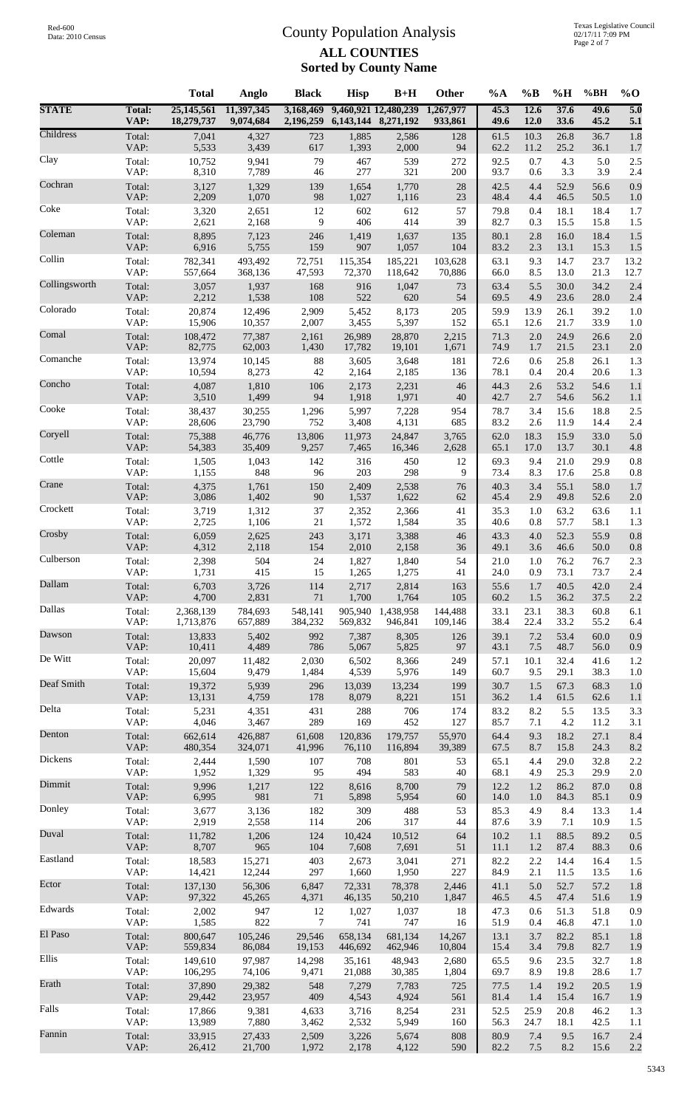|               |                       | <b>Total</b>             | Anglo                   | <b>Black</b>           | <b>Hisp</b>             | $B+H$                | Other                | %A           | $\%B$        | %H           | %BH          | $%$ <sup>O</sup>        |
|---------------|-----------------------|--------------------------|-------------------------|------------------------|-------------------------|----------------------|----------------------|--------------|--------------|--------------|--------------|-------------------------|
| <b>STATE</b>  | <b>Total:</b><br>VAP: | 25,145,561<br>18,279,737 | 11,397,345<br>9,074,684 | 3,168,469<br>2,196,259 | 6, 143, 144 8, 271, 192 | 9,460,921 12,480,239 | 1,267,977<br>933,861 | 45.3<br>49.6 | 12.6<br>12.0 | 37.6<br>33.6 | 49.6<br>45.2 | $\overline{5.0}$<br>5.1 |
| Childress     | Total:                | 7,041                    | 4,327                   | 723                    | 1,885                   | 2,586                | 128                  | 61.5         | 10.3         | 26.8         | 36.7         | 1.8                     |
|               | VAP:                  | 5,533                    | 3,439                   | 617                    | 1,393                   | 2,000                | 94                   | 62.2         | 11.2         | 25.2         | 36.1         | 1.7                     |
| Clay          | Total:                | 10,752                   | 9,941                   | 79                     | 467                     | 539                  | 272                  | 92.5         | 0.7          | 4.3          | 5.0          | 2.5                     |
|               | VAP:                  | 8,310                    | 7,789                   | 46                     | 277                     | 321                  | 200                  | 93.7         | 0.6          | 3.3          | 3.9          | 2.4                     |
| Cochran       | Total:                | 3,127<br>2,209           | 1,329<br>1,070          | 139                    | 1,654                   | 1,770                | 28                   | 42.5         | 4.4<br>4.4   | 52.9         | 56.6         | 0.9                     |
| Coke          | VAP:<br>Total:        | 3,320                    | 2,651                   | 98<br>12               | 1,027<br>602            | 1,116<br>612         | 23<br>57             | 48.4<br>79.8 | 0.4          | 46.5<br>18.1 | 50.5<br>18.4 | 1.0<br>1.7              |
| Coleman       | VAP:                  | 2,621                    | 2,168                   | 9                      | 406                     | 414                  | 39                   | 82.7         | 0.3          | 15.5         | 15.8         | 1.5                     |
|               | Total:                | 8,895                    | 7,123                   | 246                    | 1,419                   | 1,637                | 135                  | 80.1         | 2.8          | 16.0         | 18.4         | 1.5                     |
| Collin        | VAP:                  | 6,916                    | 5,755                   | 159                    | 907                     | 1,057                | 104                  | 83.2         | 2.3          | 13.1         | 15.3         | 1.5                     |
|               | Total:                | 782,341                  | 493,492                 | 72,751                 | 115,354                 | 185,221              | 103,628              | 63.1         | 9.3          | 14.7         | 23.7         | 13.2                    |
| Collingsworth | VAP:                  | 557,664                  | 368,136                 | 47,593                 | 72,370                  | 118,642              | 70,886               | 66.0         | 8.5          | 13.0         | 21.3         | 12.7                    |
|               | Total:                | 3,057                    | 1,937                   | 168                    | 916                     | 1,047                | 73                   | 63.4         | 5.5          | 30.0         | 34.2         | 2.4                     |
| Colorado      | VAP:                  | 2,212<br>20,874          | 1,538                   | 108<br>2,909           | 522                     | 620                  | 54                   | 69.5         | 4.9          | 23.6         | 28.0<br>39.2 | 2.4                     |
|               | Total:<br>VAP:        | 15,906                   | 12,496<br>10,357        | 2,007                  | 5,452<br>3,455          | 8,173<br>5,397       | 205<br>152           | 59.9<br>65.1 | 13.9<br>12.6 | 26.1<br>21.7 | 33.9         | 1.0<br>1.0              |
| Comal         | Total:                | 108,472                  | 77,387                  | 2,161                  | 26,989                  | 28,870               | 2,215                | 71.3         | 2.0          | 24.9         | 26.6         | 2.0                     |
|               | VAP:                  | 82,775                   | 62,003                  | 1,430                  | 17,782                  | 19,101               | 1,671                | 74.9         | 1.7          | 21.5         | 23.1         | 2.0                     |
| Comanche      | Total:                | 13,974                   | 10,145                  | 88                     | 3,605                   | 3,648                | 181                  | 72.6         | 0.6          | 25.8         | 26.1         | 1.3                     |
|               | VAP:                  | 10,594                   | 8,273                   | 42                     | 2,164                   | 2,185                | 136                  | 78.1         | 0.4          | 20.4         | 20.6         | 1.3                     |
| Concho        | Total:                | 4,087                    | 1,810                   | 106                    | 2,173                   | 2,231                | 46                   | 44.3         | 2.6          | 53.2         | 54.6         | 1.1                     |
|               | VAP:                  | 3,510                    | 1,499                   | 94                     | 1,918                   | 1,971                | 40                   | 42.7         | 2.7          | 54.6         | 56.2         | 1.1                     |
| Cooke         | Total:                | 38,437                   | 30,255                  | 1,296                  | 5,997                   | 7,228                | 954                  | 78.7         | 3.4          | 15.6         | 18.8         | 2.5                     |
|               | VAP:                  | 28,606                   | 23,790                  | 752                    | 3,408                   | 4,131                | 685                  | 83.2         | 2.6          | 11.9         | 14.4         | 2.4                     |
| Coryell       | Total:                | 75,388                   | 46,776                  | 13,806                 | 11,973                  | 24,847               | 3,765                | 62.0         | 18.3         | 15.9         | 33.0         | 5.0                     |
| Cottle        | VAP:                  | 54,383                   | 35,409                  | 9,257                  | 7,465                   | 16,346               | 2,628                | 65.1         | 17.0         | 13.7         | 30.1         | 4.8                     |
|               | Total:                | 1,505                    | 1,043                   | 142                    | 316                     | 450                  | 12                   | 69.3         | 9.4          | 21.0         | 29.9         | 0.8                     |
| Crane         | VAP:                  | 1,155                    | 848                     | 96                     | 203                     | 298                  | 9                    | 73.4         | 8.3          | 17.6         | 25.8         | 0.8                     |
|               | Total:                | 4,375                    | 1,761                   | 150                    | 2,409                   | 2,538                | 76                   | 40.3         | 3.4          | 55.1         | 58.0         | 1.7                     |
| Crockett      | VAP:                  | 3,086                    | 1,402                   | 90                     | 1,537                   | 1,622                | 62                   | 45.4         | 2.9          | 49.8         | 52.6         | 2.0                     |
|               | Total:                | 3,719                    | 1,312                   | 37                     | 2,352                   | 2,366                | 41                   | 35.3         | 1.0          | 63.2         | 63.6         | 1.1                     |
| Crosby        | VAP:                  | 2,725                    | 1,106                   | 21                     | 1,572                   | 1,584                | 35                   | 40.6         | 0.8          | 57.7         | 58.1         | 1.3                     |
|               | Total:                | 6,059                    | 2,625                   | 243                    | 3,171                   | 3,388                | 46                   | 43.3         | 4.0          | 52.3         | 55.9         | 0.8                     |
|               | VAP:                  | 4,312                    | 2,118                   | 154                    | 2,010                   | 2,158                | 36                   | 49.1         | 3.6          | 46.6         | 50.0         | 0.8                     |
| Culberson     | Total:                | 2,398                    | 504                     | $24\,$                 | 1,827                   | 1,840                | 54                   | 21.0         | 1.0          | 76.2         | 76.7         | 2.3                     |
|               | VAP:                  | 1,731                    | 415                     | 15                     | 1,265                   | 1,275                | 41                   | 24.0         | 0.9          | 73.1         | 73.7         | 2.4                     |
| Dallam        | Total:                | 6,703                    | 3,726                   | 114                    | 2,717                   | 2,814                | 163                  | 55.6         | 1.7          | 40.5         | 42.0         | 2.4                     |
|               | VAP:                  | 4,700                    | 2,831                   | 71                     | 1,700                   | 1,764                | 105                  | 60.2         | 1.5          | 36.2         | 37.5         | 2.2                     |
| Dallas        | Total:                | 2,368,139                | 784,693                 | 548,141                | 905,940                 | 1,438,958            | 144,488              | 33.1         | 23.1         | 38.3         | 60.8         | 6.1                     |
|               | VAP:                  | 1,713,876                | 657,889                 | 384,232                | 569,832                 | 946,841              | 109,146              | 38.4         | 22.4         | 33.2         | 55.2         | 6.4                     |
| Dawson        | Total:                | 13,833                   | 5,402                   | 992                    | 7,387                   | 8,305                | 126                  | 39.1         | 7.2          | 53.4         | 60.0         | 0.9                     |
|               | VAP:                  | 10,411                   | 4,489                   | 786                    | 5,067                   | 5,825                | 97                   | 43.1         | 7.5          | 48.7         | 56.0         | 0.9                     |
| De Witt       | Total:                | 20,097                   | 11,482                  | 2,030                  | 6,502                   | 8,366                | 249                  | 57.1         | 10.1         | 32.4         | 41.6         | 1.2                     |
| Deaf Smith    | VAP:                  | 15,604                   | 9,479                   | 1,484                  | 4,539                   | 5,976                | 149                  | 60.7         | 9.5          | 29.1         | 38.3         | 1.0                     |
|               | Total:                | 19,372                   | 5,939                   | 296                    | 13,039                  | 13,234               | 199                  | 30.7         | 1.5          | 67.3         | 68.3         | 1.0                     |
| Delta         | VAP:                  | 13,131                   | 4,759                   | 178                    | 8,079                   | 8,221                | 151                  | 36.2         | 1.4          | 61.5         | 62.6         | 1.1                     |
|               | Total:                | 5,231                    | 4,351                   | 431                    | 288                     | 706                  | 174                  | 83.2         | 8.2          | 5.5          | 13.5         | 3.3                     |
| Denton        | VAP:                  | 4,046                    | 3,467                   | 289                    | 169                     | 452                  | 127                  | 85.7         | 7.1          | 4.2          | 11.2         | 3.1                     |
|               | Total:                | 662,614                  | 426,887                 | 61,608                 | 120,836                 | 179,757              | 55,970               | 64.4         | 9.3          | 18.2         | 27.1         | 8.4                     |
| Dickens       | VAP:                  | 480,354                  | 324,071                 | 41,996                 | 76,110                  | 116,894              | 39,389               | 67.5         | 8.7          | 15.8         | 24.3         | 8.2                     |
|               | Total:                | 2,444                    | 1,590                   | 107                    | 708                     | 801                  | 53                   | 65.1         | 4.4          | 29.0         | 32.8         | 2.2                     |
| Dimmit        | VAP:                  | 1,952                    | 1,329                   | 95                     | 494                     | 583                  | 40                   | 68.1         | 4.9          | 25.3         | 29.9         | 2.0                     |
|               | Total:                | 9,996                    | 1,217                   | 122                    | 8,616                   | 8,700                | 79                   | 12.2         | 1.2          | 86.2         | 87.0         | 0.8                     |
|               | VAP:                  | 6,995                    | 981                     | 71                     | 5,898                   | 5,954                | 60                   | 14.0         | 1.0          | 84.3         | 85.1         | 0.9                     |
| Donley        | Total:                | 3,677                    | 3,136                   | 182                    | 309                     | 488                  | 53                   | 85.3         | 4.9          | 8.4          | 13.3         | 1.4                     |
|               | VAP:                  | 2,919                    | 2,558                   | 114                    | 206                     | 317                  | 44                   | 87.6         | 3.9          | 7.1          | 10.9         | 1.5                     |
| Duval         | Total:                | 11,782                   | 1,206                   | 124                    | 10,424                  | 10,512               | 64                   | 10.2         | 1.1          | 88.5         | 89.2         | 0.5                     |
|               | VAP:                  | 8,707                    | 965                     | 104                    | 7,608                   | 7,691                | 51                   | 11.1         | 1.2          | 87.4         | 88.3         | 0.6                     |
| Eastland      | Total:                | 18,583                   | 15,271                  | 403                    | 2,673                   | 3,041                | 271                  | 82.2         | 2.2          | 14.4         | 16.4         | 1.5                     |
|               | VAP:                  | 14,421                   | 12,244                  | 297                    | 1,660                   | 1,950                | 227                  | 84.9         | 2.1          | 11.5         | 13.5         | 1.6                     |
| Ector         | Total:                | 137,130                  | 56,306                  | 6,847                  | 72,331                  | 78,378               | 2,446                | 41.1         | 5.0          | 52.7         | 57.2         | 1.8                     |
| Edwards       | VAP:                  | 97,322                   | 45,265                  | 4,371                  | 46,135                  | 50,210               | 1,847                | 46.5         | 4.5          | 47.4         | 51.6         | 1.9                     |
|               | Total:                | 2,002                    | 947                     | 12                     | 1,027                   | 1,037                | 18                   | 47.3         | 0.6          | 51.3         | 51.8         | 0.9                     |
| El Paso       | VAP:                  | 1,585                    | 822                     | 7                      | 741                     | 747                  | 16                   | 51.9         | 0.4          | 46.8         | 47.1         | 1.0                     |
|               | Total:                | 800.647                  | 105,246                 | 29,546                 | 658,134                 | 681,134              | 14,267               | 13.1         | 3.7          | 82.2         | 85.1         | 1.8                     |
| Ellis         | VAP:                  | 559,834                  | 86,084                  | 19,153                 | 446,692                 | 462,946              | 10,804               | 15.4         | 3.4          | 79.8         | 82.7         | 1.9                     |
|               | Total:                | 149,610                  | 97,987                  | 14,298                 | 35,161                  | 48,943               | 2,680                | 65.5         | 9.6          | 23.5         | 32.7         | 1.8                     |
| Erath         | VAP:                  | 106,295                  | 74,106                  | 9,471                  | 21,088                  | 30,385               | 1,804                | 69.7         | 8.9          | 19.8         | 28.6         | 1.7                     |
|               | Total:                | 37,890                   | 29,382                  | 548                    | 7,279                   | 7,783                | 725                  | 77.5         | 1.4          | 19.2         | 20.5         | 1.9                     |
|               | VAP:                  | 29,442                   | 23,957                  | 409                    | 4,543                   | 4,924                | 561                  | 81.4         | 1.4          | 15.4         | 16.7         | 1.9                     |
| Falls         | Total:                | 17,866                   | 9,381                   | 4,633                  | 3,716                   | 8,254                | 231                  | 52.5         | 25.9         | 20.8         | 46.2         | 1.3                     |
|               | VAP:                  | 13,989                   | 7,880                   | 3,462                  | 2,532                   | 5,949                | 160                  | 56.3         | 24.7         | 18.1         | 42.5         | 1.1                     |
| Fannin        | Total:                | 33,915                   | 27,433                  | 2,509                  | 3,226                   | 5,674                | 808                  | 80.9         | 7.4          | 9.5          | 16.7         | 2.4                     |
|               | VAP:                  | 26,412                   | 21,700                  | 1,972                  | 2,178                   | 4,122                | 590                  | 82.2         | 7.5          | 8.2          | 15.6         | 2.2                     |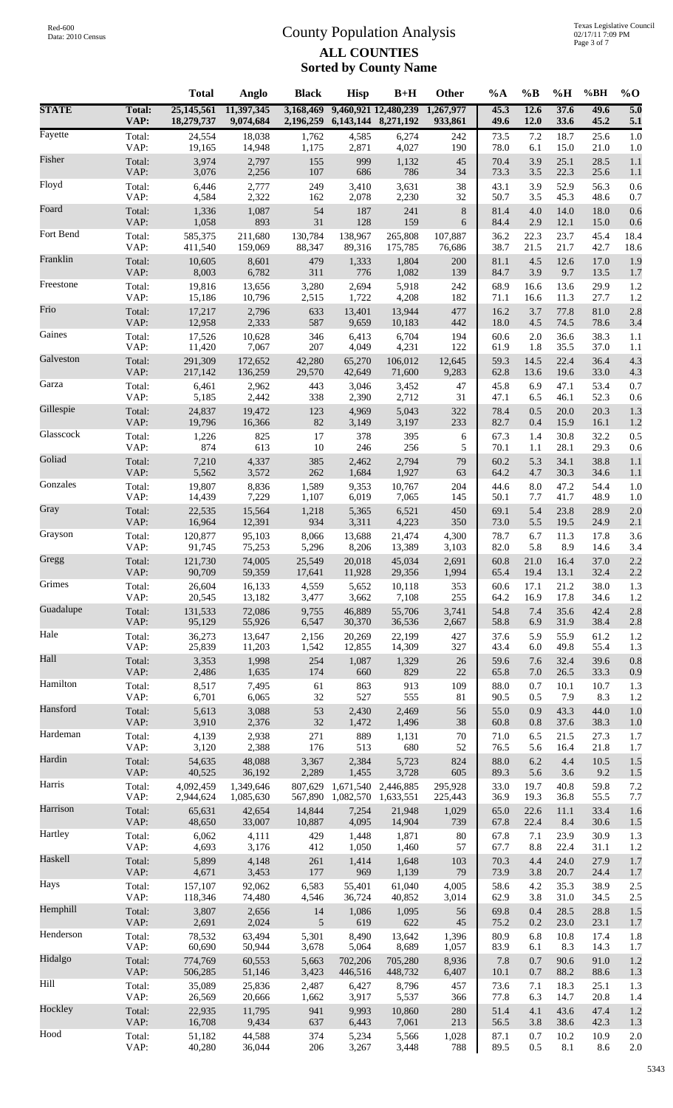|              |                       | <b>Total</b>             | Anglo                   | <b>Black</b>           | <b>Hisp</b>                | $B+H$                | Other                | %A           | $\%B$           | %H           | %BH          | $%$ <sup>O</sup>        |
|--------------|-----------------------|--------------------------|-------------------------|------------------------|----------------------------|----------------------|----------------------|--------------|-----------------|--------------|--------------|-------------------------|
| <b>STATE</b> | <b>Total:</b><br>VAP: | 25,145,561<br>18,279,737 | 11,397,345<br>9,074,684 | 3,168,469<br>2,196,259 | 6, 143, 144 8, 271, 192    | 9,460,921 12,480,239 | 1,267,977<br>933,861 | 45.3<br>49.6 | 12.6<br>12.0    | 37.6<br>33.6 | 49.6<br>45.2 | $\overline{5.0}$<br>5.1 |
| Fayette      | Total:                | 24,554                   | 18,038                  | 1,762                  | 4,585                      | 6,274                | 242                  | 73.5         | 7.2             | 18.7         | 25.6         | 1.0                     |
|              | VAP:                  | 19,165                   | 14,948                  | 1,175                  | 2,871                      | 4,027                | 190                  | 78.0         | 6.1             | 15.0         | 21.0         | 1.0                     |
| Fisher       | Total:                | 3,974                    | 2,797                   | 155                    | 999                        | 1,132                | 45                   | 70.4         | 3.9             | 25.1         | 28.5         | 1.1                     |
|              | VAP:                  | 3,076                    | 2,256                   | 107                    | 686                        | 786                  | 34                   | 73.3         | 3.5             | 22.3         | 25.6         | 1.1                     |
| Floyd        | Total:                | 6,446                    | 2,777                   | 249                    | 3,410                      | 3,631                | 38                   | 43.1         | 3.9             | 52.9         | 56.3         | 0.6                     |
|              | VAP:                  | 4,584                    | 2,322                   | 162                    | 2,078                      | 2,230                | 32                   | 50.7         | 3.5             | 45.3         | 48.6         | 0.7                     |
| Foard        | Total:                | 1,336                    | 1,087                   | 54                     | 187                        | 241                  | $\,8\,$              | 81.4         | 4.0             | 14.0         | 18.0         | 0.6                     |
| Fort Bend    | VAP:                  | 1,058                    | 893                     | 31                     | 128                        | 159                  | 6                    | 84.4         | 2.9             | 12.1         | 15.0         | 0.6                     |
|              | Total:                | 585,375                  | 211,680                 | 130,784                | 138,967                    | 265,808              | 107,887              | 36.2         | 22.3            | 23.7         | 45.4         | 18.4                    |
| Franklin     | VAP:                  | 411,540                  | 159,069                 | 88,347                 | 89,316                     | 175,785              | 76,686               | 38.7         | 21.5            | 21.7         | 42.7         | 18.6                    |
|              | Total:                | 10,605                   | 8,601                   | 479                    | 1,333                      | 1,804                | 200                  | 81.1         | 4.5             | 12.6         | 17.0         | 1.9                     |
| Freestone    | VAP:                  | 8,003                    | 6,782                   | 311                    | 776                        | 1,082                | 139                  | 84.7         | 3.9             | 9.7          | 13.5         | 1.7                     |
|              | Total:                | 19,816                   | 13,656                  | 3,280                  | 2,694                      | 5,918                | 242                  | 68.9         | 16.6            | 13.6         | 29.9         | 1.2                     |
| Frio         | VAP:                  | 15,186                   | 10,796                  | 2,515                  | 1,722                      | 4,208                | 182                  | 71.1         | 16.6            | 11.3         | 27.7         | 1.2                     |
|              | Total:                | 17,217                   | 2,796                   | 633                    | 13,401                     | 13,944               | 477                  | 16.2         | 3.7             | 77.8         | 81.0         | 2.8                     |
| Gaines       | VAP:                  | 12,958                   | 2,333                   | 587                    | 9,659                      | 10,183               | 442                  | 18.0         | 4.5             | 74.5         | 78.6         | 3.4                     |
|              | Total:                | 17,526                   | 10,628                  | 346                    | 6,413                      | 6,704                | 194                  | 60.6         | 2.0             | 36.6         | 38.3         | 1.1                     |
|              | VAP:                  | 11,420                   | 7,067                   | 207                    | 4,049                      | 4,231                | 122                  | 61.9         | 1.8             | 35.5         | 37.0         | 1.1                     |
| Galveston    | Total:                | 291,309                  | 172,652                 | 42,280                 | 65,270                     | 106,012              | 12,645               | 59.3         | 14.5            | 22.4         | 36.4         | 4.3                     |
|              | VAP:                  | 217,142                  | 136,259                 | 29,570                 | 42,649                     | 71,600               | 9,283                | 62.8         | 13.6            | 19.6         | 33.0         | 4.3                     |
| Garza        | Total:                | 6,461                    | 2,962                   | 443                    | 3,046                      | 3,452                | 47                   | 45.8         | 6.9             | 47.1         | 53.4         | 0.7                     |
|              | VAP:                  | 5,185                    | 2,442                   | 338                    | 2,390                      | 2,712                | 31                   | 47.1         | 6.5             | 46.1         | 52.3         | 0.6                     |
| Gillespie    | Total:                | 24,837                   | 19,472                  | 123                    | 4,969                      | 5,043                | 322                  | 78.4         | 0.5             | 20.0         | 20.3         | 1.3                     |
|              | VAP:                  | 19,796                   | 16,366                  | 82                     | 3,149                      | 3,197                | 233                  | 82.7         | 0.4             | 15.9         | 16.1         | 1.2                     |
| Glasscock    | Total:                | 1,226                    | 825                     | 17                     | 378                        | 395                  | 6                    | 67.3         | 1.4             | 30.8         | 32.2         | 0.5                     |
|              | VAP:                  | 874                      | 613                     | 10                     | 246                        | 256                  | 5                    | 70.1         | 1.1             | 28.1         | 29.3         | 0.6                     |
| Goliad       | Total:                | 7,210                    | 4,337                   | 385                    | 2,462                      | 2,794                | 79                   | 60.2         | 5.3             | 34.1         | 38.8         | 1.1                     |
|              | VAP:                  | 5,562                    | 3,572                   | 262                    | 1,684                      | 1,927                | 63                   | 64.2         | 4.7             | 30.3         | 34.6         | 1.1                     |
| Gonzales     | Total:                | 19,807                   | 8,836                   | 1,589                  | 9,353                      | 10,767               | 204                  | 44.6         | 8.0             | 47.2         | 54.4         | 1.0                     |
| Gray         | VAP:                  | 14,439                   | 7,229                   | 1,107                  | 6,019                      | 7,065                | 145                  | 50.1         | 7.7             | 41.7         | 48.9         | 1.0                     |
|              | Total:                | 22,535                   | 15,564                  | 1,218                  | 5,365                      | 6,521                | 450                  | 69.1         | 5.4             | 23.8         | 28.9         | 2.0                     |
| Grayson      | VAP:                  | 16,964                   | 12,391                  | 934                    | 3,311                      | 4,223                | 350                  | 73.0         | 5.5             | 19.5         | 24.9         | 2.1                     |
|              | Total:                | 120,877                  | 95,103                  | 8,066                  | 13,688                     | 21,474               | 4,300                | 78.7         | 6.7             | 11.3         | 17.8         | 3.6                     |
| Gregg        | VAP:                  | 91,745                   | 75,253                  | 5,296                  | 8,206                      | 13,389               | 3,103                | 82.0         | 5.8             | 8.9          | 14.6         | 3.4                     |
|              | Total:                | 121,730                  | 74,005                  | 25,549                 | 20,018                     | 45,034               | 2,691                | 60.8         | 21.0            | 16.4         | 37.0         | 2.2                     |
| Grimes       | VAP:                  | 90,709                   | 59,359                  | 17,641                 | 11,928                     | 29,356               | 1,994                | 65.4         | 19.4            | 13.1         | 32.4         | 2.2                     |
|              | Total:                | 26,604                   | 16,133                  | 4,559                  | 5,652                      | 10,118               | 353                  | 60.6         | 17.1            | 21.2         | 38.0         | 1.3                     |
| Guadalupe    | VAP:                  | 20,545<br>131,533        | 13,182                  | 3,477                  | 3,662<br>46,889            | 7,108<br>55,706      | 255                  | 64.2         | 16.9<br>$7.4\,$ | 17.8<br>35.6 | 34.6<br>42.4 | 1.2<br>2.8              |
|              | Total:<br>VAP:        | 95,129                   | 72,086<br>55,926        | 9,755<br>6,547         | 30,370                     | 36,536               | 3,741<br>2,667       | 54.8<br>58.8 | 6.9             | 31.9         | 38.4         | 2.8                     |
| Hale         | Total:                | 36,273                   | 13,647                  | 2,156                  | 20,269                     | 22,199               | 427                  | 37.6         | 5.9             | 55.9         | 61.2         | 1.2                     |
|              | VAP:                  | 25,839                   | 11,203                  | 1,542                  | 12,855                     | 14,309               | 327                  | 43.4         | 6.0             | 49.8         | 55.4         | 1.3                     |
| Hall         | Total:                | 3,353                    | 1,998                   | 254                    | 1,087                      | 1,329                | 26                   | 59.6         | 7.6             | 32.4         | 39.6         | 0.8                     |
|              | VAP:                  | 2,486                    | 1,635                   | 174                    | 660                        | 829                  | 22                   | 65.8         | 7.0             | 26.5         | 33.3         | 0.9                     |
| Hamilton     | Total:                | 8,517                    | 7,495                   | 61                     | 863                        | 913                  | 109                  | 88.0         | 0.7             | 10.1         | 10.7         | 1.3                     |
|              | VAP:                  | 6,701                    | 6,065                   | 32                     | 527                        | 555                  | 81                   | 90.5         | 0.5             | 7.9          | 8.3          | 1.2                     |
| Hansford     | Total:                | 5,613                    | 3,088                   | 53                     | 2,430                      | 2,469                | 56                   | 55.0         | 0.9             | 43.3         | 44.0         | 1.0                     |
|              | VAP:                  | 3,910                    | 2,376                   | $32\,$                 | 1,472                      | 1,496                | 38                   | 60.8         | 0.8             | 37.6         | 38.3         | 1.0                     |
| Hardeman     | Total:                | 4,139                    | 2,938                   | 271                    | 889                        | 1,131                | 70                   | 71.0         | 6.5             | 21.5         | 27.3         | 1.7                     |
|              | VAP:                  | 3,120                    | 2,388                   | 176                    | 513                        | 680                  | 52                   | 76.5         | 5.6             | 16.4         | 21.8         | 1.7                     |
| Hardin       | Total:                | 54,635                   | 48,088                  | 3,367                  | 2,384                      | 5,723                | 824                  | 88.0         | 6.2             | 4.4          | 10.5         | 1.5                     |
| Harris       | VAP:                  | 40,525                   | 36,192                  | 2,289                  | 1,455                      | 3,728                | 605                  | 89.3         | 5.6             | $3.6$        | 9.2          | $1.5$                   |
|              | Total:                | 4,092,459                | 1,349,646               | 807,629                | 1,671,540                  | 2,446,885            | 295,928              | 33.0         | 19.7            | 40.8         | 59.8         | 7.2                     |
| Harrison     | VAP:<br>Total:        | 2,944,624<br>65,631      | 1,085,630<br>42,654     | 14,844                 | 567,890 1,082,570<br>7,254 | 1,633,551<br>21,948  | 225,443<br>1,029     | 36.9<br>65.0 | 19.3<br>22.6    | 36.8<br>11.1 | 55.5<br>33.4 | 7.7<br>1.6              |
| Hartley      | VAP:                  | 48,650                   | 33,007                  | 10,887                 | 4,095                      | 14,904               | 739                  | 67.8         | 22.4            | 8.4          | 30.6         | 1.5                     |
|              | Total:                | 6,062                    | 4,111                   | 429                    | 1,448                      | 1,871                | 80                   | 67.8         | 7.1             | 23.9         | 30.9         | 1.3                     |
| Haskell      | VAP:                  | 4,693                    | 3,176                   | 412                    | 1,050                      | 1,460                | 57                   | 67.7         | 8.8             | 22.4         | 31.1         | 1.2                     |
|              | Total:                | 5,899                    | 4,148                   | 261                    | 1,414                      | 1,648                | 103                  | 70.3         | 4.4             | 24.0         | 27.9         | 1.7                     |
| Hays         | VAP:                  | 4,671                    | 3,453                   | 177                    | 969                        | 1,139                | 79                   | 73.9         | 3.8             | 20.7         | 24.4         | 1.7                     |
|              | Total:                | 157,107                  | 92,062                  | 6,583                  | 55,401                     | 61,040               | 4,005                | 58.6         | 4.2             | 35.3         | 38.9         | 2.5                     |
| Hemphill     | VAP:                  | 118,346                  | 74,480                  | 4,546                  | 36,724                     | 40,852               | 3,014                | 62.9         | 3.8             | 31.0         | 34.5         | 2.5                     |
|              | Total:                | 3,807                    | 2,656                   | 14                     | 1,086                      | 1,095                | 56                   | 69.8         | 0.4             | 28.5         | 28.8         | 1.5                     |
|              | VAP:                  | 2,691                    | 2,024                   | 5                      | 619                        | 622                  | 45                   | 75.2         | 0.2             | 23.0         | 23.1         | 1.7                     |
| Henderson    | Total:                | 78,532                   | 63,494                  | 5,301                  | 8,490                      | 13,642               | 1,396                | 80.9         | 6.8             | 10.8         | 17.4         | 1.8                     |
|              | VAP:                  | 60,690                   | 50,944                  | 3,678                  | 5,064                      | 8,689                | 1,057                | 83.9         | 6.1             | 8.3          | 14.3         | 1.7                     |
| Hidalgo      | Total:                | 774,769                  | 60,553                  | 5,663                  | 702,206                    | 705,280              | 8,936                | 7.8          | 0.7             | 90.6         | 91.0         | 1.2                     |
|              | VAP:                  | 506,285                  | 51,146                  | 3,423                  | 446,516                    | 448,732              | 6,407                | 10.1         | 0.7             | 88.2         | 88.6         | 1.3                     |
| Hill         | Total:                | 35,089                   | 25,836                  | 2,487                  | 6,427                      | 8,796                | 457                  | 73.6         | 7.1             | 18.3         | 25.1         | 1.3                     |
|              | VAP:                  | 26,569                   | 20,666                  | 1,662                  | 3,917                      | 5,537                | 366                  | 77.8         | 6.3             | 14.7         | 20.8         | 1.4                     |
| Hockley      | Total:                | 22,935                   | 11,795                  | 941                    | 9,993                      | 10,860               | 280                  | 51.4         | 4.1             | 43.6         | 47.4         | 1.2                     |
|              | VAP:                  | 16,708                   | 9,434                   | 637                    | 6,443                      | 7,061                | 213                  | 56.5         | 3.8             | 38.6         | 42.3         | 1.3                     |
| Hood         | Total:                | 51,182                   | 44,588                  | 374                    | 5,234                      | 5,566                | 1,028                | 87.1         | 0.7             | $10.2\,$     | 10.9         | 2.0                     |
|              | VAP:                  | 40,280                   | 36,044                  | 206                    | 3,267                      | 3,448                | 788                  | 89.5         | 0.5             | $8.1\,$      | 8.6          | 2.0                     |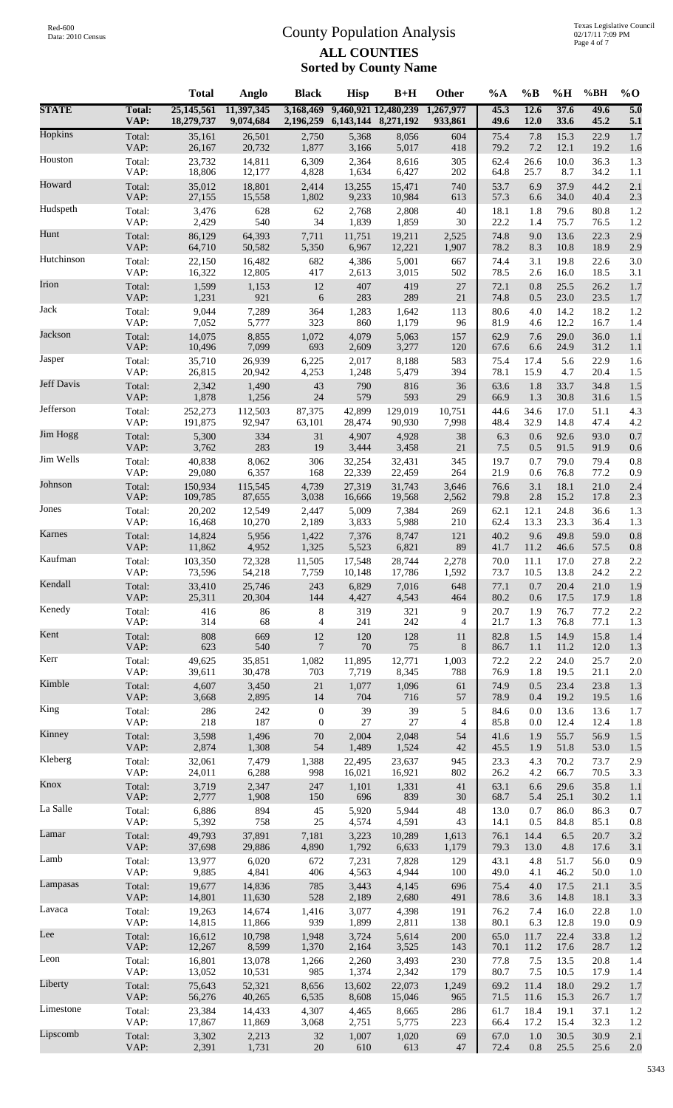|              |                | <b>Total</b>             | Anglo                   | <b>Black</b>                     | <b>Hisp</b>         | $B+H$                | Other                | $\%A$        | $\%B$          | %H           | %BH          | $\%$ O                  |
|--------------|----------------|--------------------------|-------------------------|----------------------------------|---------------------|----------------------|----------------------|--------------|----------------|--------------|--------------|-------------------------|
| <b>STATE</b> | Total:<br>VAP: | 25,145,561<br>18,279,737 | 11,397,345<br>9,074,684 | 3,168,469<br>2,196,259           | 6,143,144 8,271,192 | 9,460,921 12,480,239 | 1,267,977<br>933,861 | 45.3<br>49.6 | 12.6<br>12.0   | 37.6<br>33.6 | 49.6<br>45.2 | $\overline{5.0}$<br>5.1 |
| Hopkins      | Total:         | 35,161                   | 26,501                  | 2,750                            | 5,368               | 8,056                | 604                  | 75.4         | 7.8            | 15.3         | 22.9         | 1.7                     |
|              | VAP:           | 26,167                   | 20,732                  | 1,877                            | 3,166               | 5,017                | 418                  | 79.2         | 7.2            | 12.1         | 19.2         | 1.6                     |
| Houston      | Total:         | 23,732                   | 14,811                  | 6,309                            | 2,364               | 8,616                | 305                  | 62.4         | 26.6           | 10.0         | 36.3         | 1.3                     |
|              | VAP:           | 18,806                   | 12,177                  | 4,828                            | 1,634               | 6,427                | 202                  | 64.8         | 25.7           | 8.7          | 34.2         | 1.1                     |
| Howard       | Total:<br>VAP: | 35,012<br>27,155         | 18,801                  | 2,414                            | 13,255              | 15,471               | 740                  | 53.7         | 6.9            | 37.9         | 44.2         | 2.1                     |
| Hudspeth     | Total:         | 3,476                    | 15,558<br>628           | 1,802<br>62                      | 9,233<br>2,768      | 10,984<br>2,808      | 613<br>40            | 57.3<br>18.1 | 6.6<br>1.8     | 34.0<br>79.6 | 40.4<br>80.8 | 2.3<br>1.2              |
| Hunt         | VAP:           | 2,429                    | 540                     | 34                               | 1,839               | 1,859                | 30                   | 22.2         | 1.4            | 75.7         | 76.5         | 1.2                     |
|              | Total:         | 86,129                   | 64,393                  | 7,711                            | 11,751              | 19,211               | 2,525                | 74.8         | 9.0            | 13.6         | 22.3         | 2.9                     |
| Hutchinson   | VAP:           | 64,710                   | 50,582                  | 5,350                            | 6,967               | 12,221               | 1,907                | 78.2         | 8.3            | 10.8         | 18.9         | 2.9                     |
|              | Total:         | 22,150                   | 16,482                  | 682                              | 4,386               | 5,001                | 667                  | 74.4         | 3.1            | 19.8         | 22.6         | 3.0                     |
| Irion        | VAP:           | 16,322                   | 12,805                  | 417                              | 2,613               | 3,015                | 502                  | 78.5         | 2.6            | 16.0         | 18.5         | 3.1                     |
|              | Total:         | 1,599                    | 1,153                   | 12                               | 407                 | 419                  | 27                   | 72.1         | 0.8            | 25.5         | 26.2         | 1.7                     |
| Jack         | VAP:           | 1,231                    | 921                     | 6                                | 283                 | 289                  | 21                   | 74.8         | 0.5            | 23.0         | 23.5         | 1.7                     |
|              | Total:         | 9,044                    | 7,289                   | 364                              | 1,283               | 1,642                | 113                  | 80.6         | 4.0            | 14.2         | 18.2         | 1.2                     |
| Jackson      | VAP:           | 7,052                    | 5,777                   | 323                              | 860                 | 1,179                | 96                   | 81.9         | 4.6            | 12.2         | 16.7         | 1.4                     |
|              | Total:         | 14,075                   | 8,855                   | 1,072                            | 4,079               | 5,063                | 157                  | 62.9         | 7.6            | 29.0         | 36.0         | 1.1                     |
|              | VAP:           | 10,496                   | 7,099                   | 693                              | 2,609               | 3,277                | 120                  | 67.6         | 6.6            | 24.9         | 31.2         | 1.1                     |
| Jasper       | Total:         | 35,710                   | 26,939                  | 6,225                            | 2,017               | 8,188                | 583                  | 75.4         | 17.4           | 5.6          | 22.9         | 1.6                     |
|              | VAP:           | 26,815                   | 20,942                  | 4,253                            | 1,248               | 5,479                | 394                  | 78.1         | 15.9           | 4.7          | 20.4         | 1.5                     |
| Jeff Davis   | Total:         | 2,342                    | 1,490                   | 43                               | 790                 | 816                  | 36                   | 63.6         | 1.8            | 33.7         | 34.8         | 1.5                     |
|              | VAP:           | 1,878                    | 1,256                   | 24                               | 579                 | 593                  | 29                   | 66.9         | 1.3            | 30.8         | 31.6         | 1.5                     |
| Jefferson    | Total:         | 252,273                  | 112,503                 | 87,375                           | 42,899              | 129,019              | 10,751               | 44.6         | 34.6           | 17.0         | 51.1         | 4.3                     |
|              | VAP:           | 191,875                  | 92,947                  | 63,101                           | 28,474              | 90,930               | 7,998                | 48.4         | 32.9           | 14.8         | 47.4         | 4.2                     |
| Jim Hogg     | Total:         | 5,300                    | 334                     | 31                               | 4,907               | 4,928                | 38                   | 6.3          | 0.6            | 92.6         | 93.0         | 0.7                     |
|              | VAP:           | 3,762                    | 283                     | 19                               | 3,444               | 3,458                | 21                   | $7.5\,$      | 0.5            | 91.5         | 91.9         | 0.6                     |
| Jim Wells    | Total:         | 40,838                   | 8,062                   | 306                              | 32,254              | 32,431               | 345                  | 19.7         | 0.7            | 79.0         | 79.4         | 0.8                     |
| Johnson      | VAP:           | 29,080                   | 6,357                   | 168                              | 22,339              | 22,459               | 264                  | 21.9         | 0.6            | 76.8         | 77.2         | 0.9                     |
|              | Total:         | 150,934                  | 115,545                 | 4,739                            | 27,319              | 31,743               | 3,646                | 76.6         | 3.1            | 18.1         | 21.0         | 2.4                     |
| Jones        | VAP:           | 109,785                  | 87,655                  | 3,038                            | 16,666              | 19,568               | 2,562                | 79.8         | 2.8            | 15.2         | 17.8         | 2.3                     |
|              | Total:         | 20,202                   | 12,549                  | 2,447                            | 5,009               | 7,384                | 269                  | 62.1         | 12.1           | 24.8         | 36.6         | 1.3                     |
| Karnes       | VAP:           | 16,468                   | 10,270                  | 2,189                            | 3,833               | 5,988                | 210                  | 62.4         | 13.3           | 23.3         | 36.4         | 1.3                     |
|              | Total:         | 14,824                   | 5,956                   | 1,422                            | 7,376               | 8,747                | 121                  | 40.2         | 9.6            | 49.8         | 59.0         | 0.8                     |
| Kaufman      | VAP:           | 11,862                   | 4,952                   | 1,325                            | 5,523               | 6,821                | 89                   | 41.7         | 11.2           | 46.6         | 57.5         | 0.8                     |
|              | Total:         | 103,350                  | 72,328                  | 11,505                           | 17,548              | 28,744               | 2,278                | 70.0         | 11.1           | 17.0         | 27.8         | 2.2                     |
| Kendall      | VAP:           | 73,596                   | 54,218                  | 7,759                            | 10,148              | 17,786               | 1,592                | 73.7         | 10.5           | 13.8         | 24.2         | 2.2                     |
|              | Total:         | 33,410                   | 25,746                  | 243                              | 6,829               | 7,016                | 648                  | 77.1         | 0.7            | 20.4         | 21.0         | 1.9                     |
|              | VAP:           | 25,311                   | 20,304                  | 144                              | 4,427               | 4,543                | 464                  | 80.2         | 0.6            | 17.5         | 17.9         | 1.8                     |
| Kenedy       | Total:         | 416                      | 86                      | 8                                | 319                 | 321                  | 9                    | 20.7         | 1.9            | 76.7         | 77.2         | 2.2                     |
|              | VAP:           | 314                      | 68                      | $\overline{4}$                   | 241                 | 242                  | 4                    | 21.7         | 1.3            | 76.8         | 77.1         | 1.3                     |
| Kent         | Total:         | 808                      | 669                     | 12                               | 120                 | 128                  | 11                   | 82.8         | 1.5            | 14.9         | 15.8         | 1.4                     |
|              | VAP:           | 623                      | 540                     | $\overline{7}$                   | 70                  | 75                   | 8                    | 86.7         | 1.1            | 11.2         | 12.0         | 1.3                     |
| Kerr         | Total:         | 49,625                   | 35,851                  | 1,082                            | 11,895              | 12,771               | 1,003                | 72.2         | 2.2            | 24.0         | 25.7         | $2.0\,$                 |
|              | VAP:           | 39,611                   | 30,478                  | 703                              | 7,719               | 8,345                | 788                  | 76.9         | 1.8            | 19.5         | 21.1         | $2.0\,$                 |
| Kimble       | Total:         | 4,607                    | 3,450                   | $21\,$                           | 1,077               | 1,096                | 61                   | 74.9         | 0.5            | 23.4         | 23.8         | 1.3                     |
|              | VAP:           | 3,668                    | 2,895                   | 14                               | 704                 | 716                  | 57                   | 78.9         | 0.4            | 19.2         | 19.5         | 1.6                     |
| King         | Total:<br>VAP: | 286<br>218               | 242<br>187              | $\boldsymbol{0}$<br>$\mathbf{0}$ | 39<br>27            | 39<br>27             | 5                    | 84.6<br>85.8 | 0.0            | 13.6         | 13.6<br>12.4 | 1.7                     |
| Kinney       | Total:         | 3,598                    | 1,496                   | $70\,$                           | 2,004               | 2,048                | 4<br>54              | 41.6         | 0.0<br>1.9     | 12.4<br>55.7 | 56.9         | 1.8<br>1.5              |
| Kleberg      | VAP:           | 2,874                    | 1,308                   | 54                               | 1,489               | 1,524                | 42                   | 45.5         | 1.9            | 51.8         | 53.0         | 1.5                     |
|              | Total:         | 32,061                   | 7,479                   | 1,388                            | 22,495              | 23,637               | 945                  | 23.3         | 4.3            | 70.2         | 73.7         | 2.9                     |
| Knox         | VAP:           | 24,011                   | 6,288                   | 998                              | 16,021              | 16,921               | 802                  | 26.2         | 4.2            | 66.7         | 70.5         | 3.3                     |
|              | Total:         | 3,719                    | 2,347                   | 247                              | 1,101               | 1,331                | 41                   | 63.1         | 6.6            | 29.6         | 35.8         | 1.1                     |
| La Salle     | VAP:           | 2,777                    | 1,908                   | 150                              | 696                 | 839                  | $30\,$               | 68.7         | 5.4            | 25.1         | 30.2         | 1.1                     |
|              | Total:         | 6,886                    | 894                     | 45                               | 5,920               | 5,944                | 48                   | 13.0         | 0.7            | 86.0         | 86.3         | 0.7                     |
|              | VAP:           | 5,392                    | 758                     | 25                               | 4,574               | 4,591                | 43                   | 14.1         | 0.5            | 84.8         | 85.1         | $0.8\,$                 |
| Lamar        | Total:         | 49,793                   | 37,891                  | 7,181                            | 3,223               | 10,289               | 1,613                | 76.1         | 14.4           | 6.5          | 20.7         | 3.2                     |
|              | VAP:           | 37,698                   | 29,886                  | 4,890                            | 1,792               | 6,633                | 1,179                | 79.3         | 13.0           | 4.8          | 17.6         | 3.1                     |
| Lamb         | Total:         | 13,977                   | 6,020                   | 672                              | 7,231               | 7,828                | 129                  | 43.1         | 4.8            | 51.7         | 56.0         | 0.9                     |
|              | VAP:           | 9,885                    | 4,841                   | 406                              | 4,563               | 4,944                | 100                  | 49.0         | 4.1            | 46.2         | 50.0         | $1.0\,$                 |
| Lampasas     | Total:         | 19,677                   | 14,836                  | 785                              | 3,443               | 4,145                | 696                  | 75.4         | 4.0            | 17.5         | 21.1         | 3.5                     |
|              | VAP:           | 14,801                   | 11,630                  | 528                              | 2,189               | 2,680                | 491                  | 78.6         | 3.6            | 14.8         | 18.1         | 3.3                     |
| Lavaca       | Total:         | 19,263                   | 14,674                  | 1,416                            | 3,077               | 4,398                | 191                  | 76.2         | 7.4            | 16.0         | 22.8         | $1.0\,$                 |
|              | VAP:           | 14,815                   | 11,866                  | 939                              | 1,899               | 2,811                | 138                  | 80.1         | 6.3            | 12.8         | 19.0         | 0.9                     |
| Lee          | Total:         | 16,612                   | 10,798                  | 1,948                            | 3,724               | 5,614                | 200                  | 65.0         | 11.7           | 22.4         | 33.8         | 1.2                     |
|              | VAP:           | 12,267                   | 8,599                   | 1,370                            | 2,164               | 3,525                | 143                  | 70.1         | 11.2           | 17.6         | 28.7         | 1.2                     |
| Leon         | Total:<br>VAP: | 16,801<br>13,052         | 13,078                  | 1,266<br>985                     | 2,260<br>1,374      | 3,493<br>2,342       | 230<br>179           | 77.8<br>80.7 | 7.5<br>$7.5\,$ | 13.5         | 20.8<br>17.9 | 1.4                     |
| Liberty      | Total:         | 75,643                   | 10,531<br>52,321        | 8,656                            | 13,602              | 22,073               | 1,249                | 69.2         | 11.4           | 10.5<br>18.0 | 29.2         | 1.4<br>1.7              |
| Limestone    | VAP:           | 56,276                   | 40,265                  | 6,535                            | 8,608               | 15,046               | 965                  | 71.5         | 11.6           | 15.3         | 26.7         | 1.7                     |
|              | Total:         | 23,384                   | 14,433                  | 4,307                            | 4,465               | 8,665                | 286                  | 61.7         | 18.4           | 19.1         | 37.1         | 1.2                     |
| Lipscomb     | VAP:           | 17,867                   | 11,869                  | 3,068                            | 2,751               | 5,775                | 223                  | 66.4         | 17.2           | 15.4         | 32.3         | $1.2\,$                 |
|              | Total:         | 3,302                    | 2,213                   | $32\,$                           | 1,007               | 1,020                | 69                   | 67.0         | 1.0            | 30.5         | 30.9         | $2.1\,$                 |
|              | VAP:           | 2,391                    | 1,731                   | $20\,$                           | 610                 | 613                  | $47\,$               | 72.4         | 0.8            | 25.5         | 25.6         | $2.0\,$                 |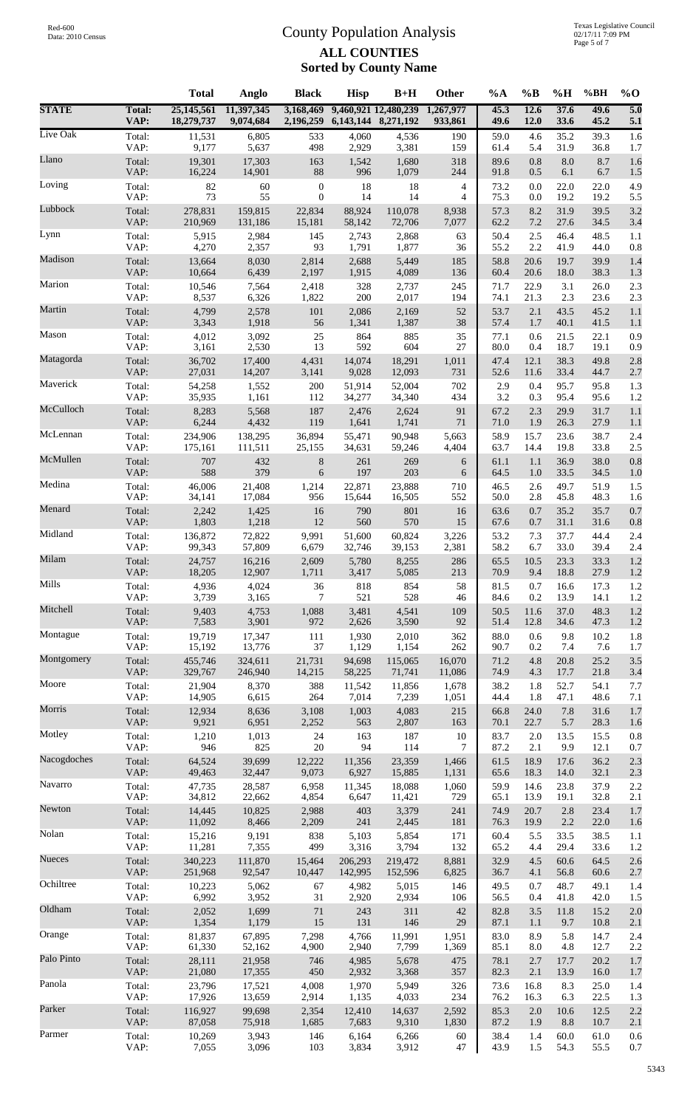|              |                       | <b>Total</b>             | Anglo                   | <b>Black</b>           | <b>Hisp</b>             | $B+H$                | <b>Other</b>         | $\%A$        | $\%B$        | %H           | %BH          | $%$ <sup>O</sup>        |
|--------------|-----------------------|--------------------------|-------------------------|------------------------|-------------------------|----------------------|----------------------|--------------|--------------|--------------|--------------|-------------------------|
| <b>STATE</b> | <b>Total:</b><br>VAP: | 25,145,561<br>18,279,737 | 11,397,345<br>9,074,684 | 3,168,469<br>2,196,259 | 6, 143, 144 8, 271, 192 | 9,460,921 12,480,239 | 1,267,977<br>933,861 | 45.3<br>49.6 | 12.6<br>12.0 | 37.6<br>33.6 | 49.6<br>45.2 | $\overline{5.0}$<br>5.1 |
| Live Oak     | Total:                | 11,531                   | 6,805                   | 533                    | 4,060                   | 4,536                | 190                  | 59.0         | 4.6          | 35.2         | 39.3         | 1.6                     |
|              | VAP:                  | 9,177                    | 5,637                   | 498                    | 2,929                   | 3,381                | 159                  | 61.4         | 5.4          | 31.9         | 36.8         | 1.7                     |
| Llano        | Total:                | 19,301                   | 17,303                  | 163                    | 1,542                   | 1,680                | 318                  | 89.6         | 0.8          | 8.0          | 8.7          | 1.6                     |
|              | VAP:                  | 16,224                   | 14,901                  | $88\,$                 | 996                     | 1,079                | 244                  | 91.8         | 0.5          | 6.1          | 6.7          | 1.5                     |
| Loving       | Total:                | 82                       | 60                      | $\boldsymbol{0}$       | 18                      | 18                   | 4                    | 73.2         | 0.0          | 22.0         | 22.0         | 4.9                     |
|              | VAP:                  | 73                       | 55                      | $\mathbf{0}$           | 14                      | 14                   | 4                    | 75.3         | 0.0          | 19.2         | 19.2         | 5.5                     |
| Lubbock      | Total:                | 278,831                  | 159,815                 | 22,834                 | 88,924                  | 110,078              | 8,938                | 57.3         | 8.2          | 31.9         | 39.5         | 3.2                     |
|              | VAP:                  | 210,969                  | 131,186                 | 15,181                 | 58,142                  | 72,706               | 7,077                | 62.2         | 7.2          | 27.6         | 34.5         | 3.4                     |
| Lynn         | Total:                | 5,915                    | 2,984                   | 145                    | 2,743                   | 2,868                | 63                   | 50.4         | 2.5          | 46.4         | 48.5         | 1.1                     |
|              | VAP:                  | 4,270                    | 2,357                   | 93                     | 1,791                   | 1,877                | 36                   | 55.2         | 2.2          | 41.9         | 44.0         | 0.8                     |
| Madison      | Total:                | 13,664                   | 8,030                   | 2,814                  | 2,688                   | 5,449                | 185                  | 58.8         | 20.6         | 19.7         | 39.9         | 1.4                     |
| Marion       | VAP:                  | 10,664                   | 6,439                   | 2,197                  | 1,915                   | 4,089                | 136                  | 60.4         | 20.6         | 18.0         | 38.3         | 1.3                     |
|              | Total:                | 10,546                   | 7,564                   | 2,418                  | 328                     | 2,737                | 245                  | 71.7         | 22.9         | 3.1          | 26.0         | 2.3                     |
| Martin       | VAP:                  | 8,537                    | 6,326                   | 1,822                  | 200                     | 2,017                | 194                  | 74.1         | 21.3         | 2.3          | 23.6         | 2.3                     |
|              | Total:                | 4,799                    | 2,578                   | 101                    | 2,086                   | 2,169                | 52                   | 53.7         | 2.1          | 43.5         | 45.2         | 1.1                     |
| Mason        | VAP:                  | 3,343                    | 1,918                   | 56                     | 1,341                   | 1,387                | 38                   | 57.4         | 1.7          | 40.1         | 41.5         | 1.1                     |
|              | Total:                | 4,012                    | 3,092                   | 25                     | 864                     | 885                  | 35                   | 77.1         | 0.6          | 21.5         | 22.1         | 0.9                     |
| Matagorda    | VAP:                  | 3,161                    | 2,530                   | 13                     | 592                     | 604                  | 27                   | 80.0         | 0.4          | 18.7         | 19.1         | 0.9                     |
|              | Total:                | 36,702                   | 17,400                  | 4,431                  | 14,074                  | 18,291               | 1,011                | 47.4         | 12.1         | 38.3         | 49.8         | 2.8                     |
| Maverick     | VAP:                  | 27,031                   | 14,207                  | 3,141                  | 9,028                   | 12,093               | 731                  | 52.6         | 11.6         | 33.4         | 44.7         | 2.7                     |
|              | Total:                | 54,258                   | 1,552                   | 200                    | 51,914                  | 52,004               | 702                  | 2.9          | 0.4          | 95.7         | 95.8         | 1.3                     |
| McCulloch    | VAP:                  | 35,935                   | 1,161                   | 112                    | 34,277                  | 34,340               | 434                  | 3.2          | 0.3          | 95.4         | 95.6         | 1.2                     |
|              | Total:                | 8,283                    | 5,568                   | 187                    | 2,476                   | 2,624                | 91                   | 67.2         | 2.3          | 29.9         | 31.7         | 1.1                     |
|              | VAP:                  | 6,244                    | 4,432                   | 119                    | 1,641                   | 1,741                | 71                   | 71.0         | 1.9          | 26.3         | 27.9         | 1.1                     |
| McLennan     | Total:                | 234,906                  | 138,295                 | 36,894                 | 55,471                  | 90,948               | 5,663                | 58.9         | 15.7         | 23.6         | 38.7         | 2.4                     |
|              | VAP:                  | 175,161                  | 111,511                 | 25,155                 | 34,631                  | 59,246               | 4,404                | 63.7         | 14.4         | 19.8         | 33.8         | 2.5                     |
| McMullen     | Total:                | 707                      | 432                     | $8\,$                  | 261                     | 269                  | 6                    | 61.1         | 1.1          | 36.9         | 38.0         | 0.8                     |
|              | VAP:                  | 588                      | 379                     | 6                      | 197                     | 203                  | 6                    | 64.5         | 1.0          | 33.5         | 34.5         | 1.0                     |
| Medina       | Total:                | 46,006                   | 21,408                  | 1,214                  | 22,871                  | 23,888               | 710                  | 46.5         | 2.6          | 49.7         | 51.9         | 1.5                     |
|              | VAP:                  | 34,141                   | 17,084                  | 956                    | 15,644                  | 16,505               | 552                  | 50.0         | 2.8          | 45.8         | 48.3         | 1.6                     |
| Menard       | Total:                | 2,242                    | 1,425                   | 16                     | 790                     | 801                  | 16                   | 63.6         | 0.7          | 35.2         | 35.7         | 0.7                     |
|              | VAP:                  | 1,803                    | 1,218                   | 12                     | 560                     | 570                  | 15                   | 67.6         | 0.7          | 31.1         | 31.6         | 0.8                     |
| Midland      | Total:                | 136,872                  | 72,822                  | 9,991                  | 51,600                  | 60,824               | 3,226                | 53.2         | 7.3          | 37.7         | 44.4         | 2.4                     |
|              | VAP:                  | 99,343                   | 57,809                  | 6,679                  | 32,746                  | 39,153               | 2,381                | 58.2         | 6.7          | 33.0         | 39.4         | 2.4                     |
| Milam        | Total:                | 24,757                   | 16,216                  | 2,609                  | 5,780                   | 8,255                | 286                  | 65.5         | 10.5         | 23.3         | 33.3         | 1.2                     |
|              | VAP:                  | 18,205                   | 12,907                  | 1,711                  | 3,417                   | 5,085                | 213                  | 70.9         | 9.4          | 18.8         | 27.9         | 1.2                     |
| Mills        | Total:                | 4,936                    | 4,024                   | 36                     | 818                     | 854                  | 58                   | 81.5         | 0.7          | 16.6         | 17.3         | 1.2                     |
| Mitchell     | VAP:                  | 3,739                    | 3,165                   | 7                      | 521                     | 528                  | 46                   | 84.6         | 0.2          | 13.9         | 14.1         | 1.2                     |
|              | Total:                | 9,403                    | 4,753                   | 1,088                  | 3,481                   | 4,541                | 109                  | 50.5         | 11.6         | 37.0         | 48.3         | 1.2                     |
| Montague     | VAP:                  | 7,583                    | 3,901                   | 972                    | 2,626                   | 3,590                | 92                   | 51.4         | 12.8         | 34.6         | 47.3         | 1.2                     |
|              | Total:                | 19,719                   | 17,347                  | 111                    | 1,930                   | 2,010                | 362                  | 88.0         | 0.6          | 9.8          | 10.2         | 1.8                     |
| Montgomery   | VAP:                  | 15,192                   | 13,776                  | 37                     | 1,129                   | 1,154                | 262                  | 90.7         | 0.2          | 7.4          | 7.6          | 1.7                     |
|              | Total:                | 455,746                  | 324,611                 | 21,731                 | 94,698                  | 115,065              | 16,070               | 71.2         | 4.8          | 20.8         | 25.2         | 3.5                     |
| Moore        | VAP:                  | 329,767                  | 246,940                 | 14,215                 | 58,225                  | 71,741               | 11,086               | 74.9         | 4.3          | 17.7         | 21.8         | 3.4                     |
|              | Total:                | 21,904                   | 8,370                   | 388                    | 11,542                  | 11,856               | 1,678                | 38.2         | 1.8          | 52.7         | 54.1         | $7.7\,$                 |
| Morris       | VAP:                  | 14,905                   | 6,615                   | 264                    | 7,014                   | 7,239                | 1,051                | 44.4         | 1.8          | 47.1         | 48.6         | 7.1                     |
|              | Total:                | 12,934                   | 8,636                   | 3,108                  | 1,003                   | 4,083                | 215                  | 66.8         | 24.0         | 7.8          | 31.6         | 1.7                     |
| Motley       | VAP:                  | 9,921                    | 6,951                   | 2,252                  | 563                     | 2,807                | 163                  | 70.1         | 22.7         | 5.7          | 28.3         | 1.6                     |
|              | Total:                | 1,210                    | 1,013                   | 24                     | 163                     | 187                  | 10                   | 83.7         | 2.0          | 13.5         | 15.5         | 0.8                     |
| Nacogdoches  | VAP:                  | 946                      | 825                     | $20\,$                 | 94                      | 114                  | 7                    | 87.2         | 2.1          | 9.9          | 12.1         | 0.7                     |
|              | Total:                | 64,524                   | 39,699                  | 12,222                 | 11,356                  | 23,359               | 1,466                | 61.5         | 18.9         | 17.6         | 36.2         | 2.3                     |
|              | VAP:                  | 49,463                   | 32,447                  | 9,073                  | 6,927                   | 15,885               | 1,131                | 65.6         | 18.3         | 14.0         | 32.1         | 2.3                     |
| Navarro      | Total:                | 47,735                   | 28,587                  | 6,958                  | 11,345                  | 18,088               | 1,060                | 59.9         | 14.6         | 23.8         | 37.9         | 2.2                     |
|              | VAP:                  | 34,812                   | 22,662                  | 4,854                  | 6,647                   | 11,421               | 729                  | 65.1         | 13.9         | 19.1         | 32.8         | 2.1                     |
| Newton       | Total:                | 14,445                   | 10,825                  | 2,988                  | 403                     | 3,379                | 241                  | 74.9         | 20.7         | 2.8          | 23.4         | 1.7                     |
|              | VAP:                  | 11,092                   | 8,466                   | 2,209                  | 241                     | 2,445                | 181                  | 76.3         | 19.9         | 2.2          | 22.0         | 1.6                     |
| Nolan        | Total:                | 15,216                   | 9,191                   | 838                    | 5,103                   | 5,854                | 171                  | 60.4         | 5.5          | 33.5         | 38.5         | 1.1                     |
|              | VAP:                  | 11,281                   | 7,355                   | 499                    | 3,316                   | 3,794                | 132                  | 65.2         | 4.4          | 29.4         | 33.6         | 1.2                     |
| Nueces       | Total:                | 340,223                  | 111,870                 | 15,464                 | 206,293                 | 219,472              | 8,881                | 32.9         | 4.5          | 60.6         | 64.5         | 2.6                     |
|              | VAP:                  | 251,968                  | 92,547                  | 10,447                 | 142,995                 | 152,596              | 6,825                | 36.7         | 4.1          | 56.8         | 60.6         | 2.7                     |
| Ochiltree    | Total:                | 10,223                   | 5,062                   | 67                     | 4,982                   | 5,015                | 146                  | 49.5         | 0.7          | 48.7         | 49.1         | 1.4                     |
|              | VAP:                  | 6,992                    | 3,952                   | 31                     | 2,920                   | 2,934                | 106                  | 56.5         | 0.4          | 41.8         | 42.0         | 1.5                     |
| Oldham       | Total:                | 2,052                    | 1,699                   | 71                     | 243                     | 311                  | $42\,$               | 82.8         | 3.5          | 11.8         | 15.2         | 2.0                     |
|              | VAP:                  | 1,354                    | 1,179                   | 15                     | 131                     | 146                  | 29                   | 87.1         | 1.1          | 9.7          | 10.8         | 2.1                     |
| Orange       | Total:                | 81,837                   | 67,895                  | 7,298                  | 4,766                   | 11,991               | 1,951                | 83.0         | 8.9          | 5.8          | 14.7         | 2.4                     |
| Palo Pinto   | VAP:                  | 61,330                   | 52,162                  | 4,900                  | 2,940                   | 7,799                | 1,369                | 85.1         | 8.0          | 4.8          | 12.7         | 2.2                     |
|              | Total:                | 28,111                   | 21,958                  | 746                    | 4,985                   | 5,678                | 475                  | 78.1         | 2.7          | 17.7         | 20.2         | 1.7                     |
| Panola       | VAP:                  | 21,080                   | 17,355                  | 450                    | 2,932                   | 3,368                | 357                  | 82.3         | 2.1          | 13.9         | 16.0         | 1.7                     |
|              | Total:                | 23,796                   | 17,521                  | 4,008                  | 1,970                   | 5,949                | 326                  | 73.6         | 16.8         | 8.3          | 25.0         | 1.4                     |
| Parker       | VAP:                  | 17,926                   | 13,659                  | 2,914                  | 1,135                   | 4,033                | 234                  | 76.2         | 16.3         | 6.3          | 22.5         | 1.3                     |
|              | Total:                | 116,927                  | 99,698                  | 2,354                  | 12,410                  | 14,637               | 2,592                | 85.3         | 2.0          | 10.6         | 12.5         | 2.2                     |
| Parmer       | VAP:                  | 87,058                   | 75,918                  | 1,685                  | 7,683                   | 9,310                | 1,830                | 87.2         | 1.9          | 8.8          | 10.7         | 2.1                     |
|              | Total:                | 10,269                   | 3,943                   | 146                    | 6,164                   | 6,266                | 60                   | 38.4         | 1.4          | 60.0         | 61.0         | 0.6                     |
|              | VAP:                  | 7,055                    | 3,096                   | 103                    | 3,834                   | 3,912                | 47                   | 43.9         | 1.5          | 54.3         | 55.5         | $0.7\,$                 |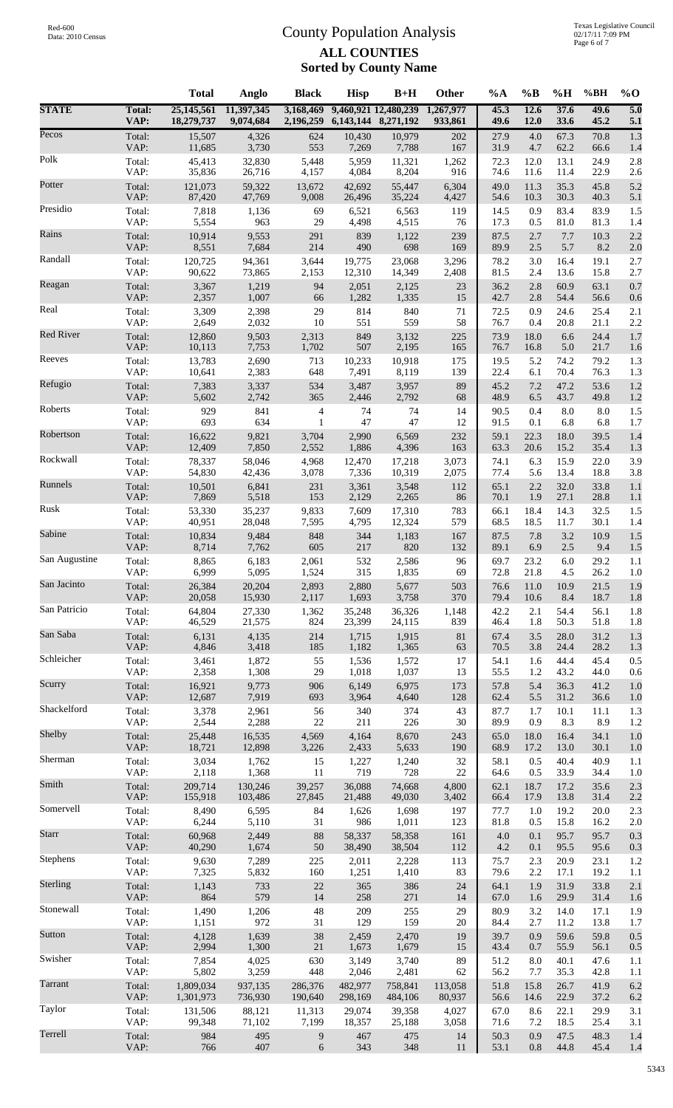| 25,145,561<br>9,460,921 12,480,239<br>5.0<br>11,397,345<br>3,168,469<br>1,267,977<br>45.3<br>12.6<br>37.6<br>49.6<br><b>Total:</b><br>2,196,259<br>6, 143, 144 8, 271, 192<br>VAP:<br>18,279,737<br>9,074,684<br>933,861<br>49.6<br>12.0<br>33.6<br>45.2<br>5.1<br>1.3<br>Total:<br>15,507<br>4,326<br>624<br>10,430<br>10,979<br>202<br>27.9<br>4.0<br>67.3<br>70.8<br>VAP:<br>11,685<br>3,730<br>553<br>62.2<br>7,269<br>7,788<br>167<br>31.9<br>4.7<br>66.6<br>1.4<br>32,830<br>2.8<br>Total:<br>45,413<br>5,448<br>5,959<br>11,321<br>1,262<br>72.3<br>12.0<br>13.1<br>24.9<br>VAP:<br>35,836<br>8,204<br>22.9<br>26,716<br>4,157<br>4,084<br>916<br>74.6<br>11.6<br>11.4<br>2.6<br>5.2<br>6,304<br>45.8<br>Total:<br>121,073<br>59,322<br>13,672<br>42,692<br>55,447<br>49.0<br>11.3<br>35.3<br>VAP:<br>87,420<br>47,769<br>9,008<br>26,496<br>35,224<br>4,427<br>54.6<br>10.3<br>30.3<br>40.3<br>5.1<br>Total:<br>7,818<br>83.9<br>1.5<br>1,136<br>69<br>6,521<br>6,563<br>119<br>14.5<br>0.9<br>83.4<br>VAP:<br>5,554<br>963<br>29<br>4,498<br>4,515<br>17.3<br>0.5<br>81.0<br>81.3<br>76<br>1.4<br>2.2<br>Total:<br>10,914<br>9,553<br>291<br>839<br>1,122<br>239<br>87.5<br>2.7<br>7.7<br>10.3<br>VAP:<br>214<br>698<br>5.7<br>8.2<br>8,551<br>7,684<br>490<br>169<br>89.9<br>2.5<br>2.0<br>120,725<br>94,361<br>23,068<br>3,296<br>78.2<br>16.4<br>19.1<br>2.7<br>Total:<br>3,644<br>19,775<br>3.0<br>VAP:<br>90,622<br>73,865<br>2,153<br>12,310<br>14,349<br>2,408<br>81.5<br>2.4<br>13.6<br>15.8<br>2.7<br>0.7<br>3,367<br>63.1<br>Total:<br>1,219<br>94<br>2,051<br>2,125<br>23<br>36.2<br>2.8<br>60.9<br>VAP:<br>1,007<br>42.7<br>2,357<br>66<br>1,282<br>1,335<br>15<br>2.8<br>54.4<br>56.6<br>0.6<br>25.4<br>3,309<br>2,398<br>29<br>814<br>840<br>71<br>0.9<br>2.1<br>Total:<br>72.5<br>24.6<br>VAP:<br>2,032<br>551<br>559<br>58<br>2.2<br>2,649<br>10<br>76.7<br>0.4<br>20.8<br>21.1<br><b>Red River</b><br>2,313<br>24.4<br>1.7<br>Total:<br>12,860<br>9,503<br>849<br>3,132<br>225<br>73.9<br>18.0<br>6.6<br>VAP:<br>10,113<br>1,702<br>507<br>2,195<br>76.7<br>21.7<br>7,753<br>165<br>16.8<br>5.0<br>1.6<br>Reeves<br>Total:<br>13,783<br>2,690<br>713<br>10,233<br>10,918<br>175<br>19.5<br>5.2<br>74.2<br>79.2<br>1.3<br>VAP:<br>10,641<br>2,383<br>648<br>7,491<br>139<br>76.3<br>1.3<br>8,119<br>22.4<br>6.1<br>70.4<br>1.2<br>53.6<br>Total:<br>7,383<br>3,337<br>534<br>3,487<br>3,957<br>89<br>45.2<br>7.2<br>47.2<br>VAP:<br>5,602<br>2,742<br>365<br>2,446<br>2,792<br>68<br>48.9<br>6.5<br>43.7<br>49.8<br>1.2<br>929<br>841<br>8.0<br>1.5<br>Total:<br>74<br>74<br>14<br>90.5<br>0.4<br>8.0<br>4<br>VAP:<br>693<br>634<br>47<br>47<br>12<br>91.5<br>0.1<br>6.8<br>6.8<br>1.7<br>1<br>1.4<br>Total:<br>16,622<br>9,821<br>3,704<br>2,990<br>232<br>59.1<br>18.0<br>39.5<br>6,569<br>22.3<br>VAP:<br>12,409<br>7,850<br>2,552<br>1,886<br>4,396<br>63.3<br>20.6<br>15.2<br>35.4<br>1.3<br>163<br>3.9<br>Total:<br>78,337<br>58,046<br>4,968<br>12,470<br>3,073<br>74.1<br>6.3<br>15.9<br>22.0<br>17,218<br>VAP:<br>18.8<br>54,830<br>42,436<br>3,078<br>7,336<br>10,319<br>2,075<br>77.4<br>5.6<br>13.4<br>3.8<br>Runnels<br>10,501<br>33.8<br>1.1<br>Total:<br>6,841<br>231<br>3,361<br>3,548<br>112<br>65.1<br>2.2<br>32.0<br>VAP:<br>7,869<br>5,518<br>153<br>2,129<br>1.9<br>28.8<br>2,265<br>86<br>70.1<br>27.1<br>1.1<br>Rusk<br>53,330<br>35,237<br>32.5<br>1.5<br>Total:<br>9,833<br>7,609<br>17,310<br>783<br>66.1<br>18.4<br>14.3<br>VAP:<br>68.5<br>18.5<br>30.1<br>40,951<br>28,048<br>7,595<br>4,795<br>12,324<br>579<br>11.7<br>1.4<br>3.2<br>1.5<br>10,834<br>9,484<br>848<br>344<br>7.8<br>10.9<br>Total:<br>1,183<br>167<br>87.5<br>VAP:<br>820<br>89.1<br>2.5<br>9.4<br>8,714<br>7,762<br>605<br>217<br>132<br>6.9<br>1.5<br>Total:<br>23.2<br>6.0<br>8,865<br>6,183<br>2,061<br>532<br>2,586<br>96<br>69.7<br>29.2<br>1.1<br>6,999<br>5,095<br>69<br>72.8<br>VAP:<br>1,524<br>315<br>1,835<br>21.8<br>4.5<br>26.2<br>1.0<br>1.9<br>26,384<br>503<br>Total:<br>20,204<br>2,893<br>2,880<br>5,677<br>11.0<br>21.5<br>76.6<br>10.9<br>VAP:<br>370<br>18.7<br>1.8<br>20,058<br>15,930<br>2,117<br>1,693<br>3,758<br>79.4<br>10.6<br>8.4<br>54.4<br>Total:<br>64,804<br>35,248<br>36,326<br>42.2<br>56.1<br>1.8<br>27,330<br>1,362<br>1,148<br>2.1<br>VAP:<br>839<br>46,529<br>21,575<br>824<br>23,399<br>24,115<br>46.4<br>1.8<br>50.3<br>51.8<br>1.8<br>1.3<br>6,131<br>4,135<br>214<br>1,715<br>1,915<br>$81\,$<br>67.4<br>3.5<br>28.0<br>31.2<br>Total:<br>VAP:<br>4,846<br>3,418<br>185<br>1,365<br>70.5<br>28.2<br>1.3<br>1,182<br>63<br>3.8<br>24.4<br>Total:<br>3,461<br>1,872<br>55<br>1,536<br>1,572<br>54.1<br>44.4<br>45.4<br>0.5<br>17<br>1.6<br>VAP:<br>1,308<br>2,358<br>29<br>1,018<br>1,037<br>55.5<br>44.0<br>$0.6\,$<br>13<br>1.2<br>43.2<br>Scurry<br>$1.0\,$<br>Total:<br>16,921<br>9,773<br>906<br>6,149<br>6,975<br>57.8<br>5.4<br>41.2<br>173<br>36.3<br>VAP:<br>12,687<br>7,919<br>3,964<br>693<br>4,640<br>128<br>62.4<br>5.5<br>31.2<br>36.6<br>1.0<br>Shackelford<br>374<br>Total:<br>3,378<br>2,961<br>56<br>340<br>43<br>87.7<br>1.7<br>10.1<br>11.1<br>1.3<br>VAP:<br>2,288<br>211<br>2,544<br>$22\,$<br>226<br>30<br>89.9<br>8.3<br>8.9<br>0.9<br>1.2<br>Shelby<br>34.1<br>1.0<br>Total:<br>25,448<br>16,535<br>4,569<br>4,164<br>8,670<br>243<br>65.0<br>18.0<br>16.4<br>VAP:<br>18,721<br>12,898<br>3,226<br>68.9<br>30.1<br>2,433<br>5,633<br>190<br>17.2<br>13.0<br>1.0<br>3,034<br>1,762<br>1,240<br>0.5<br>40.4<br>40.9<br>Total:<br>15<br>1,227<br>32<br>58.1<br>1.1<br>VAP:<br>2,118<br>1,368<br>11<br>719<br>728<br>$22\,$<br>0.5<br>33.9<br>34.4<br>64.6<br>1.0<br>2.3<br>Total:<br>209,714<br>130,246<br>36,088<br>74,668<br>4,800<br>62.1<br>18.7<br>35.6<br>39,257<br>17.2<br>VAP:<br>2.2<br>155,918<br>103,486<br>27,845<br>21,488<br>49,030<br>3,402<br>66.4<br>17.9<br>13.8<br>31.4<br>Total:<br>8,490<br>2.3<br>6,595<br>84<br>1,626<br>1,698<br>197<br>77.7<br>1.0<br>19.2<br>20.0<br>VAP:<br>986<br>6,244<br>5,110<br>31<br>1,011<br>123<br>81.8<br>0.5<br>15.8<br>16.2<br>$2.0\,$<br>0.3<br>Total:<br>60,968<br>$88\,$<br>58,358<br>161<br>$4.0$<br>95.7<br>2,449<br>58,337<br>0.1<br>95.7<br>VAP:<br>1,674<br>$50\,$<br>4.2<br>95.6<br>0.3<br>40,290<br>38,490<br>38,504<br>112<br>0.1<br>95.5<br>Stephens<br>Total:<br>9,630<br>7,289<br>225<br>2,011<br>2,228<br>2.3<br>20.9<br>23.1<br>1.2<br>113<br>75.7<br>VAP:<br>$2.2\,$<br>19.2<br>7,325<br>5,832<br>160<br>1,251<br>1,410<br>83<br>79.6<br>17.1<br>1.1<br>Sterling<br>733<br>33.8<br>2.1<br>Total:<br>1,143<br>22<br>365<br>386<br>64.1<br>31.9<br>24<br>1.9<br>VAP:<br>864<br>579<br>14<br>258<br>271<br>67.0<br>31.4<br>29.9<br>1.6<br>14<br>1.6<br>Stonewall<br>Total:<br>1,490<br>48<br>209<br>3.2<br>1,206<br>255<br>29<br>80.9<br>14.0<br>17.1<br>1.9<br>972<br>129<br>159<br>VAP:<br>1,151<br>31<br>20<br>84.4<br>2.7<br>11.2<br>13.8<br>1.7<br>0.5<br>4,128<br>1,639<br>38<br>0.9<br>59.6<br>59.8<br>Total:<br>2,459<br>2,470<br>19<br>39.7<br>VAP:<br>2,994<br>1,300<br>$21\,$<br>56.1<br>0.5<br>1,673<br>1,679<br>15<br>43.4<br>0.7<br>55.9 |               |        | <b>Total</b> | Anglo | <b>Black</b> | <b>Hisp</b> | $B+H$ | Other | $\%A$ | $\%B$   | %H   | %BH  | $%$ <sup>O</sup> |
|--------------------------------------------------------------------------------------------------------------------------------------------------------------------------------------------------------------------------------------------------------------------------------------------------------------------------------------------------------------------------------------------------------------------------------------------------------------------------------------------------------------------------------------------------------------------------------------------------------------------------------------------------------------------------------------------------------------------------------------------------------------------------------------------------------------------------------------------------------------------------------------------------------------------------------------------------------------------------------------------------------------------------------------------------------------------------------------------------------------------------------------------------------------------------------------------------------------------------------------------------------------------------------------------------------------------------------------------------------------------------------------------------------------------------------------------------------------------------------------------------------------------------------------------------------------------------------------------------------------------------------------------------------------------------------------------------------------------------------------------------------------------------------------------------------------------------------------------------------------------------------------------------------------------------------------------------------------------------------------------------------------------------------------------------------------------------------------------------------------------------------------------------------------------------------------------------------------------------------------------------------------------------------------------------------------------------------------------------------------------------------------------------------------------------------------------------------------------------------------------------------------------------------------------------------------------------------------------------------------------------------------------------------------------------------------------------------------------------------------------------------------------------------------------------------------------------------------------------------------------------------------------------------------------------------------------------------------------------------------------------------------------------------------------------------------------------------------------------------------------------------------------------------------------------------------------------------------------------------------------------------------------------------------------------------------------------------------------------------------------------------------------------------------------------------------------------------------------------------------------------------------------------------------------------------------------------------------------------------------------------------------------------------------------------------------------------------------------------------------------------------------------------------------------------------------------------------------------------------------------------------------------------------------------------------------------------------------------------------------------------------------------------------------------------------------------------------------------------------------------------------------------------------------------------------------------------------------------------------------------------------------------------------------------------------------------------------------------------------------------------------------------------------------------------------------------------------------------------------------------------------------------------------------------------------------------------------------------------------------------------------------------------------------------------------------------------------------------------------------------------------------------------------------------------------------------------------------------------------------------------------------------------------------------------------------------------------------------------------------------------------------------------------------------------------------------------------------------------------------------------------------------------------------------------------------------------------------------------------------------------------------------------------------------------------------------------------------------------------------------------------------------------------------------------------------------------------------------------------------------------------------------------------------------------------------------------------------------------------------------------------------------------------------------------------------------------------------------------------------------------------------------------------------------------------------------------------------------------------------------------------------------------------------------------------------------------------------------------------------------------------------------------------------------------------------------------------------------------------------------------------------------------------------------------------------------------------------------------------------------------------------------------------------------------------------------------------------------------------------------------------------------------------------------------------------------------------------------------------------------------------------------------------------------------------------------------------------------------------------------------------------------------------------------------------------------------------------------------------------------------------------------------------------------------------------------------------------------------------------------------------------------------------------------------------------------------------------------------------------------------------------------------------------------------------------------------------------------------------------------|---------------|--------|--------------|-------|--------------|-------------|-------|-------|-------|---------|------|------|------------------|
|                                                                                                                                                                                                                                                                                                                                                                                                                                                                                                                                                                                                                                                                                                                                                                                                                                                                                                                                                                                                                                                                                                                                                                                                                                                                                                                                                                                                                                                                                                                                                                                                                                                                                                                                                                                                                                                                                                                                                                                                                                                                                                                                                                                                                                                                                                                                                                                                                                                                                                                                                                                                                                                                                                                                                                                                                                                                                                                                                                                                                                                                                                                                                                                                                                                                                                                                                                                                                                                                                                                                                                                                                                                                                                                                                                                                                                                                                                                                                                                                                                                                                                                                                                                                                                                                                                                                                                                                                                                                                                                                                                                                                                                                                                                                                                                                                                                                                                                                                                                                                                                                                                                                                                                                                                                                                                                                                                                                                                                                                                                                                                                                                                                                                                                                                                                                                                                                                                                                                                                                                                                                                                                                                                                                                                                                                                                                                                                                                                                                                                                                                                                                                                                                                                                                                                                                                                                                                                                                                                                                                                                                                                                    | <b>STATE</b>  |        |              |       |              |             |       |       |       |         |      |      |                  |
|                                                                                                                                                                                                                                                                                                                                                                                                                                                                                                                                                                                                                                                                                                                                                                                                                                                                                                                                                                                                                                                                                                                                                                                                                                                                                                                                                                                                                                                                                                                                                                                                                                                                                                                                                                                                                                                                                                                                                                                                                                                                                                                                                                                                                                                                                                                                                                                                                                                                                                                                                                                                                                                                                                                                                                                                                                                                                                                                                                                                                                                                                                                                                                                                                                                                                                                                                                                                                                                                                                                                                                                                                                                                                                                                                                                                                                                                                                                                                                                                                                                                                                                                                                                                                                                                                                                                                                                                                                                                                                                                                                                                                                                                                                                                                                                                                                                                                                                                                                                                                                                                                                                                                                                                                                                                                                                                                                                                                                                                                                                                                                                                                                                                                                                                                                                                                                                                                                                                                                                                                                                                                                                                                                                                                                                                                                                                                                                                                                                                                                                                                                                                                                                                                                                                                                                                                                                                                                                                                                                                                                                                                                                    | Pecos         |        |              |       |              |             |       |       |       |         |      |      |                  |
|                                                                                                                                                                                                                                                                                                                                                                                                                                                                                                                                                                                                                                                                                                                                                                                                                                                                                                                                                                                                                                                                                                                                                                                                                                                                                                                                                                                                                                                                                                                                                                                                                                                                                                                                                                                                                                                                                                                                                                                                                                                                                                                                                                                                                                                                                                                                                                                                                                                                                                                                                                                                                                                                                                                                                                                                                                                                                                                                                                                                                                                                                                                                                                                                                                                                                                                                                                                                                                                                                                                                                                                                                                                                                                                                                                                                                                                                                                                                                                                                                                                                                                                                                                                                                                                                                                                                                                                                                                                                                                                                                                                                                                                                                                                                                                                                                                                                                                                                                                                                                                                                                                                                                                                                                                                                                                                                                                                                                                                                                                                                                                                                                                                                                                                                                                                                                                                                                                                                                                                                                                                                                                                                                                                                                                                                                                                                                                                                                                                                                                                                                                                                                                                                                                                                                                                                                                                                                                                                                                                                                                                                                                                    | Polk          |        |              |       |              |             |       |       |       |         |      |      |                  |
|                                                                                                                                                                                                                                                                                                                                                                                                                                                                                                                                                                                                                                                                                                                                                                                                                                                                                                                                                                                                                                                                                                                                                                                                                                                                                                                                                                                                                                                                                                                                                                                                                                                                                                                                                                                                                                                                                                                                                                                                                                                                                                                                                                                                                                                                                                                                                                                                                                                                                                                                                                                                                                                                                                                                                                                                                                                                                                                                                                                                                                                                                                                                                                                                                                                                                                                                                                                                                                                                                                                                                                                                                                                                                                                                                                                                                                                                                                                                                                                                                                                                                                                                                                                                                                                                                                                                                                                                                                                                                                                                                                                                                                                                                                                                                                                                                                                                                                                                                                                                                                                                                                                                                                                                                                                                                                                                                                                                                                                                                                                                                                                                                                                                                                                                                                                                                                                                                                                                                                                                                                                                                                                                                                                                                                                                                                                                                                                                                                                                                                                                                                                                                                                                                                                                                                                                                                                                                                                                                                                                                                                                                                                    | Potter        |        |              |       |              |             |       |       |       |         |      |      |                  |
|                                                                                                                                                                                                                                                                                                                                                                                                                                                                                                                                                                                                                                                                                                                                                                                                                                                                                                                                                                                                                                                                                                                                                                                                                                                                                                                                                                                                                                                                                                                                                                                                                                                                                                                                                                                                                                                                                                                                                                                                                                                                                                                                                                                                                                                                                                                                                                                                                                                                                                                                                                                                                                                                                                                                                                                                                                                                                                                                                                                                                                                                                                                                                                                                                                                                                                                                                                                                                                                                                                                                                                                                                                                                                                                                                                                                                                                                                                                                                                                                                                                                                                                                                                                                                                                                                                                                                                                                                                                                                                                                                                                                                                                                                                                                                                                                                                                                                                                                                                                                                                                                                                                                                                                                                                                                                                                                                                                                                                                                                                                                                                                                                                                                                                                                                                                                                                                                                                                                                                                                                                                                                                                                                                                                                                                                                                                                                                                                                                                                                                                                                                                                                                                                                                                                                                                                                                                                                                                                                                                                                                                                                                                    | Presidio      |        |              |       |              |             |       |       |       |         |      |      |                  |
|                                                                                                                                                                                                                                                                                                                                                                                                                                                                                                                                                                                                                                                                                                                                                                                                                                                                                                                                                                                                                                                                                                                                                                                                                                                                                                                                                                                                                                                                                                                                                                                                                                                                                                                                                                                                                                                                                                                                                                                                                                                                                                                                                                                                                                                                                                                                                                                                                                                                                                                                                                                                                                                                                                                                                                                                                                                                                                                                                                                                                                                                                                                                                                                                                                                                                                                                                                                                                                                                                                                                                                                                                                                                                                                                                                                                                                                                                                                                                                                                                                                                                                                                                                                                                                                                                                                                                                                                                                                                                                                                                                                                                                                                                                                                                                                                                                                                                                                                                                                                                                                                                                                                                                                                                                                                                                                                                                                                                                                                                                                                                                                                                                                                                                                                                                                                                                                                                                                                                                                                                                                                                                                                                                                                                                                                                                                                                                                                                                                                                                                                                                                                                                                                                                                                                                                                                                                                                                                                                                                                                                                                                                                    | Rains         |        |              |       |              |             |       |       |       |         |      |      |                  |
|                                                                                                                                                                                                                                                                                                                                                                                                                                                                                                                                                                                                                                                                                                                                                                                                                                                                                                                                                                                                                                                                                                                                                                                                                                                                                                                                                                                                                                                                                                                                                                                                                                                                                                                                                                                                                                                                                                                                                                                                                                                                                                                                                                                                                                                                                                                                                                                                                                                                                                                                                                                                                                                                                                                                                                                                                                                                                                                                                                                                                                                                                                                                                                                                                                                                                                                                                                                                                                                                                                                                                                                                                                                                                                                                                                                                                                                                                                                                                                                                                                                                                                                                                                                                                                                                                                                                                                                                                                                                                                                                                                                                                                                                                                                                                                                                                                                                                                                                                                                                                                                                                                                                                                                                                                                                                                                                                                                                                                                                                                                                                                                                                                                                                                                                                                                                                                                                                                                                                                                                                                                                                                                                                                                                                                                                                                                                                                                                                                                                                                                                                                                                                                                                                                                                                                                                                                                                                                                                                                                                                                                                                                                    | Randall       |        |              |       |              |             |       |       |       |         |      |      |                  |
|                                                                                                                                                                                                                                                                                                                                                                                                                                                                                                                                                                                                                                                                                                                                                                                                                                                                                                                                                                                                                                                                                                                                                                                                                                                                                                                                                                                                                                                                                                                                                                                                                                                                                                                                                                                                                                                                                                                                                                                                                                                                                                                                                                                                                                                                                                                                                                                                                                                                                                                                                                                                                                                                                                                                                                                                                                                                                                                                                                                                                                                                                                                                                                                                                                                                                                                                                                                                                                                                                                                                                                                                                                                                                                                                                                                                                                                                                                                                                                                                                                                                                                                                                                                                                                                                                                                                                                                                                                                                                                                                                                                                                                                                                                                                                                                                                                                                                                                                                                                                                                                                                                                                                                                                                                                                                                                                                                                                                                                                                                                                                                                                                                                                                                                                                                                                                                                                                                                                                                                                                                                                                                                                                                                                                                                                                                                                                                                                                                                                                                                                                                                                                                                                                                                                                                                                                                                                                                                                                                                                                                                                                                                    | Reagan        |        |              |       |              |             |       |       |       |         |      |      |                  |
|                                                                                                                                                                                                                                                                                                                                                                                                                                                                                                                                                                                                                                                                                                                                                                                                                                                                                                                                                                                                                                                                                                                                                                                                                                                                                                                                                                                                                                                                                                                                                                                                                                                                                                                                                                                                                                                                                                                                                                                                                                                                                                                                                                                                                                                                                                                                                                                                                                                                                                                                                                                                                                                                                                                                                                                                                                                                                                                                                                                                                                                                                                                                                                                                                                                                                                                                                                                                                                                                                                                                                                                                                                                                                                                                                                                                                                                                                                                                                                                                                                                                                                                                                                                                                                                                                                                                                                                                                                                                                                                                                                                                                                                                                                                                                                                                                                                                                                                                                                                                                                                                                                                                                                                                                                                                                                                                                                                                                                                                                                                                                                                                                                                                                                                                                                                                                                                                                                                                                                                                                                                                                                                                                                                                                                                                                                                                                                                                                                                                                                                                                                                                                                                                                                                                                                                                                                                                                                                                                                                                                                                                                                                    | Real          |        |              |       |              |             |       |       |       |         |      |      |                  |
|                                                                                                                                                                                                                                                                                                                                                                                                                                                                                                                                                                                                                                                                                                                                                                                                                                                                                                                                                                                                                                                                                                                                                                                                                                                                                                                                                                                                                                                                                                                                                                                                                                                                                                                                                                                                                                                                                                                                                                                                                                                                                                                                                                                                                                                                                                                                                                                                                                                                                                                                                                                                                                                                                                                                                                                                                                                                                                                                                                                                                                                                                                                                                                                                                                                                                                                                                                                                                                                                                                                                                                                                                                                                                                                                                                                                                                                                                                                                                                                                                                                                                                                                                                                                                                                                                                                                                                                                                                                                                                                                                                                                                                                                                                                                                                                                                                                                                                                                                                                                                                                                                                                                                                                                                                                                                                                                                                                                                                                                                                                                                                                                                                                                                                                                                                                                                                                                                                                                                                                                                                                                                                                                                                                                                                                                                                                                                                                                                                                                                                                                                                                                                                                                                                                                                                                                                                                                                                                                                                                                                                                                                                                    |               |        |              |       |              |             |       |       |       |         |      |      |                  |
|                                                                                                                                                                                                                                                                                                                                                                                                                                                                                                                                                                                                                                                                                                                                                                                                                                                                                                                                                                                                                                                                                                                                                                                                                                                                                                                                                                                                                                                                                                                                                                                                                                                                                                                                                                                                                                                                                                                                                                                                                                                                                                                                                                                                                                                                                                                                                                                                                                                                                                                                                                                                                                                                                                                                                                                                                                                                                                                                                                                                                                                                                                                                                                                                                                                                                                                                                                                                                                                                                                                                                                                                                                                                                                                                                                                                                                                                                                                                                                                                                                                                                                                                                                                                                                                                                                                                                                                                                                                                                                                                                                                                                                                                                                                                                                                                                                                                                                                                                                                                                                                                                                                                                                                                                                                                                                                                                                                                                                                                                                                                                                                                                                                                                                                                                                                                                                                                                                                                                                                                                                                                                                                                                                                                                                                                                                                                                                                                                                                                                                                                                                                                                                                                                                                                                                                                                                                                                                                                                                                                                                                                                                                    |               |        |              |       |              |             |       |       |       |         |      |      |                  |
|                                                                                                                                                                                                                                                                                                                                                                                                                                                                                                                                                                                                                                                                                                                                                                                                                                                                                                                                                                                                                                                                                                                                                                                                                                                                                                                                                                                                                                                                                                                                                                                                                                                                                                                                                                                                                                                                                                                                                                                                                                                                                                                                                                                                                                                                                                                                                                                                                                                                                                                                                                                                                                                                                                                                                                                                                                                                                                                                                                                                                                                                                                                                                                                                                                                                                                                                                                                                                                                                                                                                                                                                                                                                                                                                                                                                                                                                                                                                                                                                                                                                                                                                                                                                                                                                                                                                                                                                                                                                                                                                                                                                                                                                                                                                                                                                                                                                                                                                                                                                                                                                                                                                                                                                                                                                                                                                                                                                                                                                                                                                                                                                                                                                                                                                                                                                                                                                                                                                                                                                                                                                                                                                                                                                                                                                                                                                                                                                                                                                                                                                                                                                                                                                                                                                                                                                                                                                                                                                                                                                                                                                                                                    |               |        |              |       |              |             |       |       |       |         |      |      |                  |
|                                                                                                                                                                                                                                                                                                                                                                                                                                                                                                                                                                                                                                                                                                                                                                                                                                                                                                                                                                                                                                                                                                                                                                                                                                                                                                                                                                                                                                                                                                                                                                                                                                                                                                                                                                                                                                                                                                                                                                                                                                                                                                                                                                                                                                                                                                                                                                                                                                                                                                                                                                                                                                                                                                                                                                                                                                                                                                                                                                                                                                                                                                                                                                                                                                                                                                                                                                                                                                                                                                                                                                                                                                                                                                                                                                                                                                                                                                                                                                                                                                                                                                                                                                                                                                                                                                                                                                                                                                                                                                                                                                                                                                                                                                                                                                                                                                                                                                                                                                                                                                                                                                                                                                                                                                                                                                                                                                                                                                                                                                                                                                                                                                                                                                                                                                                                                                                                                                                                                                                                                                                                                                                                                                                                                                                                                                                                                                                                                                                                                                                                                                                                                                                                                                                                                                                                                                                                                                                                                                                                                                                                                                                    | Refugio       |        |              |       |              |             |       |       |       |         |      |      |                  |
|                                                                                                                                                                                                                                                                                                                                                                                                                                                                                                                                                                                                                                                                                                                                                                                                                                                                                                                                                                                                                                                                                                                                                                                                                                                                                                                                                                                                                                                                                                                                                                                                                                                                                                                                                                                                                                                                                                                                                                                                                                                                                                                                                                                                                                                                                                                                                                                                                                                                                                                                                                                                                                                                                                                                                                                                                                                                                                                                                                                                                                                                                                                                                                                                                                                                                                                                                                                                                                                                                                                                                                                                                                                                                                                                                                                                                                                                                                                                                                                                                                                                                                                                                                                                                                                                                                                                                                                                                                                                                                                                                                                                                                                                                                                                                                                                                                                                                                                                                                                                                                                                                                                                                                                                                                                                                                                                                                                                                                                                                                                                                                                                                                                                                                                                                                                                                                                                                                                                                                                                                                                                                                                                                                                                                                                                                                                                                                                                                                                                                                                                                                                                                                                                                                                                                                                                                                                                                                                                                                                                                                                                                                                    | Roberts       |        |              |       |              |             |       |       |       |         |      |      |                  |
|                                                                                                                                                                                                                                                                                                                                                                                                                                                                                                                                                                                                                                                                                                                                                                                                                                                                                                                                                                                                                                                                                                                                                                                                                                                                                                                                                                                                                                                                                                                                                                                                                                                                                                                                                                                                                                                                                                                                                                                                                                                                                                                                                                                                                                                                                                                                                                                                                                                                                                                                                                                                                                                                                                                                                                                                                                                                                                                                                                                                                                                                                                                                                                                                                                                                                                                                                                                                                                                                                                                                                                                                                                                                                                                                                                                                                                                                                                                                                                                                                                                                                                                                                                                                                                                                                                                                                                                                                                                                                                                                                                                                                                                                                                                                                                                                                                                                                                                                                                                                                                                                                                                                                                                                                                                                                                                                                                                                                                                                                                                                                                                                                                                                                                                                                                                                                                                                                                                                                                                                                                                                                                                                                                                                                                                                                                                                                                                                                                                                                                                                                                                                                                                                                                                                                                                                                                                                                                                                                                                                                                                                                                                    | Robertson     |        |              |       |              |             |       |       |       |         |      |      |                  |
|                                                                                                                                                                                                                                                                                                                                                                                                                                                                                                                                                                                                                                                                                                                                                                                                                                                                                                                                                                                                                                                                                                                                                                                                                                                                                                                                                                                                                                                                                                                                                                                                                                                                                                                                                                                                                                                                                                                                                                                                                                                                                                                                                                                                                                                                                                                                                                                                                                                                                                                                                                                                                                                                                                                                                                                                                                                                                                                                                                                                                                                                                                                                                                                                                                                                                                                                                                                                                                                                                                                                                                                                                                                                                                                                                                                                                                                                                                                                                                                                                                                                                                                                                                                                                                                                                                                                                                                                                                                                                                                                                                                                                                                                                                                                                                                                                                                                                                                                                                                                                                                                                                                                                                                                                                                                                                                                                                                                                                                                                                                                                                                                                                                                                                                                                                                                                                                                                                                                                                                                                                                                                                                                                                                                                                                                                                                                                                                                                                                                                                                                                                                                                                                                                                                                                                                                                                                                                                                                                                                                                                                                                                                    | Rockwall      |        |              |       |              |             |       |       |       |         |      |      |                  |
|                                                                                                                                                                                                                                                                                                                                                                                                                                                                                                                                                                                                                                                                                                                                                                                                                                                                                                                                                                                                                                                                                                                                                                                                                                                                                                                                                                                                                                                                                                                                                                                                                                                                                                                                                                                                                                                                                                                                                                                                                                                                                                                                                                                                                                                                                                                                                                                                                                                                                                                                                                                                                                                                                                                                                                                                                                                                                                                                                                                                                                                                                                                                                                                                                                                                                                                                                                                                                                                                                                                                                                                                                                                                                                                                                                                                                                                                                                                                                                                                                                                                                                                                                                                                                                                                                                                                                                                                                                                                                                                                                                                                                                                                                                                                                                                                                                                                                                                                                                                                                                                                                                                                                                                                                                                                                                                                                                                                                                                                                                                                                                                                                                                                                                                                                                                                                                                                                                                                                                                                                                                                                                                                                                                                                                                                                                                                                                                                                                                                                                                                                                                                                                                                                                                                                                                                                                                                                                                                                                                                                                                                                                                    |               |        |              |       |              |             |       |       |       |         |      |      |                  |
|                                                                                                                                                                                                                                                                                                                                                                                                                                                                                                                                                                                                                                                                                                                                                                                                                                                                                                                                                                                                                                                                                                                                                                                                                                                                                                                                                                                                                                                                                                                                                                                                                                                                                                                                                                                                                                                                                                                                                                                                                                                                                                                                                                                                                                                                                                                                                                                                                                                                                                                                                                                                                                                                                                                                                                                                                                                                                                                                                                                                                                                                                                                                                                                                                                                                                                                                                                                                                                                                                                                                                                                                                                                                                                                                                                                                                                                                                                                                                                                                                                                                                                                                                                                                                                                                                                                                                                                                                                                                                                                                                                                                                                                                                                                                                                                                                                                                                                                                                                                                                                                                                                                                                                                                                                                                                                                                                                                                                                                                                                                                                                                                                                                                                                                                                                                                                                                                                                                                                                                                                                                                                                                                                                                                                                                                                                                                                                                                                                                                                                                                                                                                                                                                                                                                                                                                                                                                                                                                                                                                                                                                                                                    |               |        |              |       |              |             |       |       |       |         |      |      |                  |
|                                                                                                                                                                                                                                                                                                                                                                                                                                                                                                                                                                                                                                                                                                                                                                                                                                                                                                                                                                                                                                                                                                                                                                                                                                                                                                                                                                                                                                                                                                                                                                                                                                                                                                                                                                                                                                                                                                                                                                                                                                                                                                                                                                                                                                                                                                                                                                                                                                                                                                                                                                                                                                                                                                                                                                                                                                                                                                                                                                                                                                                                                                                                                                                                                                                                                                                                                                                                                                                                                                                                                                                                                                                                                                                                                                                                                                                                                                                                                                                                                                                                                                                                                                                                                                                                                                                                                                                                                                                                                                                                                                                                                                                                                                                                                                                                                                                                                                                                                                                                                                                                                                                                                                                                                                                                                                                                                                                                                                                                                                                                                                                                                                                                                                                                                                                                                                                                                                                                                                                                                                                                                                                                                                                                                                                                                                                                                                                                                                                                                                                                                                                                                                                                                                                                                                                                                                                                                                                                                                                                                                                                                                                    |               |        |              |       |              |             |       |       |       |         |      |      |                  |
|                                                                                                                                                                                                                                                                                                                                                                                                                                                                                                                                                                                                                                                                                                                                                                                                                                                                                                                                                                                                                                                                                                                                                                                                                                                                                                                                                                                                                                                                                                                                                                                                                                                                                                                                                                                                                                                                                                                                                                                                                                                                                                                                                                                                                                                                                                                                                                                                                                                                                                                                                                                                                                                                                                                                                                                                                                                                                                                                                                                                                                                                                                                                                                                                                                                                                                                                                                                                                                                                                                                                                                                                                                                                                                                                                                                                                                                                                                                                                                                                                                                                                                                                                                                                                                                                                                                                                                                                                                                                                                                                                                                                                                                                                                                                                                                                                                                                                                                                                                                                                                                                                                                                                                                                                                                                                                                                                                                                                                                                                                                                                                                                                                                                                                                                                                                                                                                                                                                                                                                                                                                                                                                                                                                                                                                                                                                                                                                                                                                                                                                                                                                                                                                                                                                                                                                                                                                                                                                                                                                                                                                                                                                    | Sabine        |        |              |       |              |             |       |       |       |         |      |      |                  |
|                                                                                                                                                                                                                                                                                                                                                                                                                                                                                                                                                                                                                                                                                                                                                                                                                                                                                                                                                                                                                                                                                                                                                                                                                                                                                                                                                                                                                                                                                                                                                                                                                                                                                                                                                                                                                                                                                                                                                                                                                                                                                                                                                                                                                                                                                                                                                                                                                                                                                                                                                                                                                                                                                                                                                                                                                                                                                                                                                                                                                                                                                                                                                                                                                                                                                                                                                                                                                                                                                                                                                                                                                                                                                                                                                                                                                                                                                                                                                                                                                                                                                                                                                                                                                                                                                                                                                                                                                                                                                                                                                                                                                                                                                                                                                                                                                                                                                                                                                                                                                                                                                                                                                                                                                                                                                                                                                                                                                                                                                                                                                                                                                                                                                                                                                                                                                                                                                                                                                                                                                                                                                                                                                                                                                                                                                                                                                                                                                                                                                                                                                                                                                                                                                                                                                                                                                                                                                                                                                                                                                                                                                                                    | San Augustine |        |              |       |              |             |       |       |       |         |      |      |                  |
|                                                                                                                                                                                                                                                                                                                                                                                                                                                                                                                                                                                                                                                                                                                                                                                                                                                                                                                                                                                                                                                                                                                                                                                                                                                                                                                                                                                                                                                                                                                                                                                                                                                                                                                                                                                                                                                                                                                                                                                                                                                                                                                                                                                                                                                                                                                                                                                                                                                                                                                                                                                                                                                                                                                                                                                                                                                                                                                                                                                                                                                                                                                                                                                                                                                                                                                                                                                                                                                                                                                                                                                                                                                                                                                                                                                                                                                                                                                                                                                                                                                                                                                                                                                                                                                                                                                                                                                                                                                                                                                                                                                                                                                                                                                                                                                                                                                                                                                                                                                                                                                                                                                                                                                                                                                                                                                                                                                                                                                                                                                                                                                                                                                                                                                                                                                                                                                                                                                                                                                                                                                                                                                                                                                                                                                                                                                                                                                                                                                                                                                                                                                                                                                                                                                                                                                                                                                                                                                                                                                                                                                                                                                    | San Jacinto   |        |              |       |              |             |       |       |       |         |      |      |                  |
|                                                                                                                                                                                                                                                                                                                                                                                                                                                                                                                                                                                                                                                                                                                                                                                                                                                                                                                                                                                                                                                                                                                                                                                                                                                                                                                                                                                                                                                                                                                                                                                                                                                                                                                                                                                                                                                                                                                                                                                                                                                                                                                                                                                                                                                                                                                                                                                                                                                                                                                                                                                                                                                                                                                                                                                                                                                                                                                                                                                                                                                                                                                                                                                                                                                                                                                                                                                                                                                                                                                                                                                                                                                                                                                                                                                                                                                                                                                                                                                                                                                                                                                                                                                                                                                                                                                                                                                                                                                                                                                                                                                                                                                                                                                                                                                                                                                                                                                                                                                                                                                                                                                                                                                                                                                                                                                                                                                                                                                                                                                                                                                                                                                                                                                                                                                                                                                                                                                                                                                                                                                                                                                                                                                                                                                                                                                                                                                                                                                                                                                                                                                                                                                                                                                                                                                                                                                                                                                                                                                                                                                                                                                    | San Patricio  |        |              |       |              |             |       |       |       |         |      |      |                  |
|                                                                                                                                                                                                                                                                                                                                                                                                                                                                                                                                                                                                                                                                                                                                                                                                                                                                                                                                                                                                                                                                                                                                                                                                                                                                                                                                                                                                                                                                                                                                                                                                                                                                                                                                                                                                                                                                                                                                                                                                                                                                                                                                                                                                                                                                                                                                                                                                                                                                                                                                                                                                                                                                                                                                                                                                                                                                                                                                                                                                                                                                                                                                                                                                                                                                                                                                                                                                                                                                                                                                                                                                                                                                                                                                                                                                                                                                                                                                                                                                                                                                                                                                                                                                                                                                                                                                                                                                                                                                                                                                                                                                                                                                                                                                                                                                                                                                                                                                                                                                                                                                                                                                                                                                                                                                                                                                                                                                                                                                                                                                                                                                                                                                                                                                                                                                                                                                                                                                                                                                                                                                                                                                                                                                                                                                                                                                                                                                                                                                                                                                                                                                                                                                                                                                                                                                                                                                                                                                                                                                                                                                                                                    | San Saba      |        |              |       |              |             |       |       |       |         |      |      |                  |
|                                                                                                                                                                                                                                                                                                                                                                                                                                                                                                                                                                                                                                                                                                                                                                                                                                                                                                                                                                                                                                                                                                                                                                                                                                                                                                                                                                                                                                                                                                                                                                                                                                                                                                                                                                                                                                                                                                                                                                                                                                                                                                                                                                                                                                                                                                                                                                                                                                                                                                                                                                                                                                                                                                                                                                                                                                                                                                                                                                                                                                                                                                                                                                                                                                                                                                                                                                                                                                                                                                                                                                                                                                                                                                                                                                                                                                                                                                                                                                                                                                                                                                                                                                                                                                                                                                                                                                                                                                                                                                                                                                                                                                                                                                                                                                                                                                                                                                                                                                                                                                                                                                                                                                                                                                                                                                                                                                                                                                                                                                                                                                                                                                                                                                                                                                                                                                                                                                                                                                                                                                                                                                                                                                                                                                                                                                                                                                                                                                                                                                                                                                                                                                                                                                                                                                                                                                                                                                                                                                                                                                                                                                                    | Schleicher    |        |              |       |              |             |       |       |       |         |      |      |                  |
|                                                                                                                                                                                                                                                                                                                                                                                                                                                                                                                                                                                                                                                                                                                                                                                                                                                                                                                                                                                                                                                                                                                                                                                                                                                                                                                                                                                                                                                                                                                                                                                                                                                                                                                                                                                                                                                                                                                                                                                                                                                                                                                                                                                                                                                                                                                                                                                                                                                                                                                                                                                                                                                                                                                                                                                                                                                                                                                                                                                                                                                                                                                                                                                                                                                                                                                                                                                                                                                                                                                                                                                                                                                                                                                                                                                                                                                                                                                                                                                                                                                                                                                                                                                                                                                                                                                                                                                                                                                                                                                                                                                                                                                                                                                                                                                                                                                                                                                                                                                                                                                                                                                                                                                                                                                                                                                                                                                                                                                                                                                                                                                                                                                                                                                                                                                                                                                                                                                                                                                                                                                                                                                                                                                                                                                                                                                                                                                                                                                                                                                                                                                                                                                                                                                                                                                                                                                                                                                                                                                                                                                                                                                    |               |        |              |       |              |             |       |       |       |         |      |      |                  |
|                                                                                                                                                                                                                                                                                                                                                                                                                                                                                                                                                                                                                                                                                                                                                                                                                                                                                                                                                                                                                                                                                                                                                                                                                                                                                                                                                                                                                                                                                                                                                                                                                                                                                                                                                                                                                                                                                                                                                                                                                                                                                                                                                                                                                                                                                                                                                                                                                                                                                                                                                                                                                                                                                                                                                                                                                                                                                                                                                                                                                                                                                                                                                                                                                                                                                                                                                                                                                                                                                                                                                                                                                                                                                                                                                                                                                                                                                                                                                                                                                                                                                                                                                                                                                                                                                                                                                                                                                                                                                                                                                                                                                                                                                                                                                                                                                                                                                                                                                                                                                                                                                                                                                                                                                                                                                                                                                                                                                                                                                                                                                                                                                                                                                                                                                                                                                                                                                                                                                                                                                                                                                                                                                                                                                                                                                                                                                                                                                                                                                                                                                                                                                                                                                                                                                                                                                                                                                                                                                                                                                                                                                                                    |               |        |              |       |              |             |       |       |       |         |      |      |                  |
|                                                                                                                                                                                                                                                                                                                                                                                                                                                                                                                                                                                                                                                                                                                                                                                                                                                                                                                                                                                                                                                                                                                                                                                                                                                                                                                                                                                                                                                                                                                                                                                                                                                                                                                                                                                                                                                                                                                                                                                                                                                                                                                                                                                                                                                                                                                                                                                                                                                                                                                                                                                                                                                                                                                                                                                                                                                                                                                                                                                                                                                                                                                                                                                                                                                                                                                                                                                                                                                                                                                                                                                                                                                                                                                                                                                                                                                                                                                                                                                                                                                                                                                                                                                                                                                                                                                                                                                                                                                                                                                                                                                                                                                                                                                                                                                                                                                                                                                                                                                                                                                                                                                                                                                                                                                                                                                                                                                                                                                                                                                                                                                                                                                                                                                                                                                                                                                                                                                                                                                                                                                                                                                                                                                                                                                                                                                                                                                                                                                                                                                                                                                                                                                                                                                                                                                                                                                                                                                                                                                                                                                                                                                    |               |        |              |       |              |             |       |       |       |         |      |      |                  |
|                                                                                                                                                                                                                                                                                                                                                                                                                                                                                                                                                                                                                                                                                                                                                                                                                                                                                                                                                                                                                                                                                                                                                                                                                                                                                                                                                                                                                                                                                                                                                                                                                                                                                                                                                                                                                                                                                                                                                                                                                                                                                                                                                                                                                                                                                                                                                                                                                                                                                                                                                                                                                                                                                                                                                                                                                                                                                                                                                                                                                                                                                                                                                                                                                                                                                                                                                                                                                                                                                                                                                                                                                                                                                                                                                                                                                                                                                                                                                                                                                                                                                                                                                                                                                                                                                                                                                                                                                                                                                                                                                                                                                                                                                                                                                                                                                                                                                                                                                                                                                                                                                                                                                                                                                                                                                                                                                                                                                                                                                                                                                                                                                                                                                                                                                                                                                                                                                                                                                                                                                                                                                                                                                                                                                                                                                                                                                                                                                                                                                                                                                                                                                                                                                                                                                                                                                                                                                                                                                                                                                                                                                                                    |               |        |              |       |              |             |       |       |       |         |      |      |                  |
|                                                                                                                                                                                                                                                                                                                                                                                                                                                                                                                                                                                                                                                                                                                                                                                                                                                                                                                                                                                                                                                                                                                                                                                                                                                                                                                                                                                                                                                                                                                                                                                                                                                                                                                                                                                                                                                                                                                                                                                                                                                                                                                                                                                                                                                                                                                                                                                                                                                                                                                                                                                                                                                                                                                                                                                                                                                                                                                                                                                                                                                                                                                                                                                                                                                                                                                                                                                                                                                                                                                                                                                                                                                                                                                                                                                                                                                                                                                                                                                                                                                                                                                                                                                                                                                                                                                                                                                                                                                                                                                                                                                                                                                                                                                                                                                                                                                                                                                                                                                                                                                                                                                                                                                                                                                                                                                                                                                                                                                                                                                                                                                                                                                                                                                                                                                                                                                                                                                                                                                                                                                                                                                                                                                                                                                                                                                                                                                                                                                                                                                                                                                                                                                                                                                                                                                                                                                                                                                                                                                                                                                                                                                    | Sherman       |        |              |       |              |             |       |       |       |         |      |      |                  |
|                                                                                                                                                                                                                                                                                                                                                                                                                                                                                                                                                                                                                                                                                                                                                                                                                                                                                                                                                                                                                                                                                                                                                                                                                                                                                                                                                                                                                                                                                                                                                                                                                                                                                                                                                                                                                                                                                                                                                                                                                                                                                                                                                                                                                                                                                                                                                                                                                                                                                                                                                                                                                                                                                                                                                                                                                                                                                                                                                                                                                                                                                                                                                                                                                                                                                                                                                                                                                                                                                                                                                                                                                                                                                                                                                                                                                                                                                                                                                                                                                                                                                                                                                                                                                                                                                                                                                                                                                                                                                                                                                                                                                                                                                                                                                                                                                                                                                                                                                                                                                                                                                                                                                                                                                                                                                                                                                                                                                                                                                                                                                                                                                                                                                                                                                                                                                                                                                                                                                                                                                                                                                                                                                                                                                                                                                                                                                                                                                                                                                                                                                                                                                                                                                                                                                                                                                                                                                                                                                                                                                                                                                                                    | Smith         |        |              |       |              |             |       |       |       |         |      |      |                  |
|                                                                                                                                                                                                                                                                                                                                                                                                                                                                                                                                                                                                                                                                                                                                                                                                                                                                                                                                                                                                                                                                                                                                                                                                                                                                                                                                                                                                                                                                                                                                                                                                                                                                                                                                                                                                                                                                                                                                                                                                                                                                                                                                                                                                                                                                                                                                                                                                                                                                                                                                                                                                                                                                                                                                                                                                                                                                                                                                                                                                                                                                                                                                                                                                                                                                                                                                                                                                                                                                                                                                                                                                                                                                                                                                                                                                                                                                                                                                                                                                                                                                                                                                                                                                                                                                                                                                                                                                                                                                                                                                                                                                                                                                                                                                                                                                                                                                                                                                                                                                                                                                                                                                                                                                                                                                                                                                                                                                                                                                                                                                                                                                                                                                                                                                                                                                                                                                                                                                                                                                                                                                                                                                                                                                                                                                                                                                                                                                                                                                                                                                                                                                                                                                                                                                                                                                                                                                                                                                                                                                                                                                                                                    | Somervell     |        |              |       |              |             |       |       |       |         |      |      |                  |
|                                                                                                                                                                                                                                                                                                                                                                                                                                                                                                                                                                                                                                                                                                                                                                                                                                                                                                                                                                                                                                                                                                                                                                                                                                                                                                                                                                                                                                                                                                                                                                                                                                                                                                                                                                                                                                                                                                                                                                                                                                                                                                                                                                                                                                                                                                                                                                                                                                                                                                                                                                                                                                                                                                                                                                                                                                                                                                                                                                                                                                                                                                                                                                                                                                                                                                                                                                                                                                                                                                                                                                                                                                                                                                                                                                                                                                                                                                                                                                                                                                                                                                                                                                                                                                                                                                                                                                                                                                                                                                                                                                                                                                                                                                                                                                                                                                                                                                                                                                                                                                                                                                                                                                                                                                                                                                                                                                                                                                                                                                                                                                                                                                                                                                                                                                                                                                                                                                                                                                                                                                                                                                                                                                                                                                                                                                                                                                                                                                                                                                                                                                                                                                                                                                                                                                                                                                                                                                                                                                                                                                                                                                                    | Starr         |        |              |       |              |             |       |       |       |         |      |      |                  |
|                                                                                                                                                                                                                                                                                                                                                                                                                                                                                                                                                                                                                                                                                                                                                                                                                                                                                                                                                                                                                                                                                                                                                                                                                                                                                                                                                                                                                                                                                                                                                                                                                                                                                                                                                                                                                                                                                                                                                                                                                                                                                                                                                                                                                                                                                                                                                                                                                                                                                                                                                                                                                                                                                                                                                                                                                                                                                                                                                                                                                                                                                                                                                                                                                                                                                                                                                                                                                                                                                                                                                                                                                                                                                                                                                                                                                                                                                                                                                                                                                                                                                                                                                                                                                                                                                                                                                                                                                                                                                                                                                                                                                                                                                                                                                                                                                                                                                                                                                                                                                                                                                                                                                                                                                                                                                                                                                                                                                                                                                                                                                                                                                                                                                                                                                                                                                                                                                                                                                                                                                                                                                                                                                                                                                                                                                                                                                                                                                                                                                                                                                                                                                                                                                                                                                                                                                                                                                                                                                                                                                                                                                                                    |               |        |              |       |              |             |       |       |       |         |      |      |                  |
|                                                                                                                                                                                                                                                                                                                                                                                                                                                                                                                                                                                                                                                                                                                                                                                                                                                                                                                                                                                                                                                                                                                                                                                                                                                                                                                                                                                                                                                                                                                                                                                                                                                                                                                                                                                                                                                                                                                                                                                                                                                                                                                                                                                                                                                                                                                                                                                                                                                                                                                                                                                                                                                                                                                                                                                                                                                                                                                                                                                                                                                                                                                                                                                                                                                                                                                                                                                                                                                                                                                                                                                                                                                                                                                                                                                                                                                                                                                                                                                                                                                                                                                                                                                                                                                                                                                                                                                                                                                                                                                                                                                                                                                                                                                                                                                                                                                                                                                                                                                                                                                                                                                                                                                                                                                                                                                                                                                                                                                                                                                                                                                                                                                                                                                                                                                                                                                                                                                                                                                                                                                                                                                                                                                                                                                                                                                                                                                                                                                                                                                                                                                                                                                                                                                                                                                                                                                                                                                                                                                                                                                                                                                    |               |        |              |       |              |             |       |       |       |         |      |      |                  |
|                                                                                                                                                                                                                                                                                                                                                                                                                                                                                                                                                                                                                                                                                                                                                                                                                                                                                                                                                                                                                                                                                                                                                                                                                                                                                                                                                                                                                                                                                                                                                                                                                                                                                                                                                                                                                                                                                                                                                                                                                                                                                                                                                                                                                                                                                                                                                                                                                                                                                                                                                                                                                                                                                                                                                                                                                                                                                                                                                                                                                                                                                                                                                                                                                                                                                                                                                                                                                                                                                                                                                                                                                                                                                                                                                                                                                                                                                                                                                                                                                                                                                                                                                                                                                                                                                                                                                                                                                                                                                                                                                                                                                                                                                                                                                                                                                                                                                                                                                                                                                                                                                                                                                                                                                                                                                                                                                                                                                                                                                                                                                                                                                                                                                                                                                                                                                                                                                                                                                                                                                                                                                                                                                                                                                                                                                                                                                                                                                                                                                                                                                                                                                                                                                                                                                                                                                                                                                                                                                                                                                                                                                                                    |               |        |              |       |              |             |       |       |       |         |      |      |                  |
|                                                                                                                                                                                                                                                                                                                                                                                                                                                                                                                                                                                                                                                                                                                                                                                                                                                                                                                                                                                                                                                                                                                                                                                                                                                                                                                                                                                                                                                                                                                                                                                                                                                                                                                                                                                                                                                                                                                                                                                                                                                                                                                                                                                                                                                                                                                                                                                                                                                                                                                                                                                                                                                                                                                                                                                                                                                                                                                                                                                                                                                                                                                                                                                                                                                                                                                                                                                                                                                                                                                                                                                                                                                                                                                                                                                                                                                                                                                                                                                                                                                                                                                                                                                                                                                                                                                                                                                                                                                                                                                                                                                                                                                                                                                                                                                                                                                                                                                                                                                                                                                                                                                                                                                                                                                                                                                                                                                                                                                                                                                                                                                                                                                                                                                                                                                                                                                                                                                                                                                                                                                                                                                                                                                                                                                                                                                                                                                                                                                                                                                                                                                                                                                                                                                                                                                                                                                                                                                                                                                                                                                                                                                    |               |        |              |       |              |             |       |       |       |         |      |      |                  |
|                                                                                                                                                                                                                                                                                                                                                                                                                                                                                                                                                                                                                                                                                                                                                                                                                                                                                                                                                                                                                                                                                                                                                                                                                                                                                                                                                                                                                                                                                                                                                                                                                                                                                                                                                                                                                                                                                                                                                                                                                                                                                                                                                                                                                                                                                                                                                                                                                                                                                                                                                                                                                                                                                                                                                                                                                                                                                                                                                                                                                                                                                                                                                                                                                                                                                                                                                                                                                                                                                                                                                                                                                                                                                                                                                                                                                                                                                                                                                                                                                                                                                                                                                                                                                                                                                                                                                                                                                                                                                                                                                                                                                                                                                                                                                                                                                                                                                                                                                                                                                                                                                                                                                                                                                                                                                                                                                                                                                                                                                                                                                                                                                                                                                                                                                                                                                                                                                                                                                                                                                                                                                                                                                                                                                                                                                                                                                                                                                                                                                                                                                                                                                                                                                                                                                                                                                                                                                                                                                                                                                                                                                                                    | Sutton        |        |              |       |              |             |       |       |       |         |      |      |                  |
| VAP:<br>5,802<br>3,259<br>448<br>2,046<br>2,481<br>62<br>56.2<br>35.3<br>7.7<br>42.8<br>1.1                                                                                                                                                                                                                                                                                                                                                                                                                                                                                                                                                                                                                                                                                                                                                                                                                                                                                                                                                                                                                                                                                                                                                                                                                                                                                                                                                                                                                                                                                                                                                                                                                                                                                                                                                                                                                                                                                                                                                                                                                                                                                                                                                                                                                                                                                                                                                                                                                                                                                                                                                                                                                                                                                                                                                                                                                                                                                                                                                                                                                                                                                                                                                                                                                                                                                                                                                                                                                                                                                                                                                                                                                                                                                                                                                                                                                                                                                                                                                                                                                                                                                                                                                                                                                                                                                                                                                                                                                                                                                                                                                                                                                                                                                                                                                                                                                                                                                                                                                                                                                                                                                                                                                                                                                                                                                                                                                                                                                                                                                                                                                                                                                                                                                                                                                                                                                                                                                                                                                                                                                                                                                                                                                                                                                                                                                                                                                                                                                                                                                                                                                                                                                                                                                                                                                                                                                                                                                                                                                                                                                        | Swisher       | Total: | 7,854        | 4,025 | 630          | 3,149       | 3,740 | 89    | 51.2  | $8.0\,$ | 40.1 | 47.6 | 1.1              |
| 6.2<br>51.8<br>41.9<br>Total:<br>1,809,034<br>937,135<br>286,376<br>482,977<br>758,841<br>113,058<br>15.8<br>26.7<br>VAP:<br>6.2<br>1,301,973<br>736,930<br>190,640<br>298,169<br>484,106<br>80,937<br>56.6<br>22.9<br>37.2<br>14.6                                                                                                                                                                                                                                                                                                                                                                                                                                                                                                                                                                                                                                                                                                                                                                                                                                                                                                                                                                                                                                                                                                                                                                                                                                                                                                                                                                                                                                                                                                                                                                                                                                                                                                                                                                                                                                                                                                                                                                                                                                                                                                                                                                                                                                                                                                                                                                                                                                                                                                                                                                                                                                                                                                                                                                                                                                                                                                                                                                                                                                                                                                                                                                                                                                                                                                                                                                                                                                                                                                                                                                                                                                                                                                                                                                                                                                                                                                                                                                                                                                                                                                                                                                                                                                                                                                                                                                                                                                                                                                                                                                                                                                                                                                                                                                                                                                                                                                                                                                                                                                                                                                                                                                                                                                                                                                                                                                                                                                                                                                                                                                                                                                                                                                                                                                                                                                                                                                                                                                                                                                                                                                                                                                                                                                                                                                                                                                                                                                                                                                                                                                                                                                                                                                                                                                                                                                                                                | Tarrant       |        |              |       |              |             |       |       |       |         |      |      |                  |
| 3.1<br>Total:<br>131,506<br>88,121<br>11,313<br>29,074<br>39,358<br>4,027<br>67.0<br>8.6<br>22.1<br>29.9                                                                                                                                                                                                                                                                                                                                                                                                                                                                                                                                                                                                                                                                                                                                                                                                                                                                                                                                                                                                                                                                                                                                                                                                                                                                                                                                                                                                                                                                                                                                                                                                                                                                                                                                                                                                                                                                                                                                                                                                                                                                                                                                                                                                                                                                                                                                                                                                                                                                                                                                                                                                                                                                                                                                                                                                                                                                                                                                                                                                                                                                                                                                                                                                                                                                                                                                                                                                                                                                                                                                                                                                                                                                                                                                                                                                                                                                                                                                                                                                                                                                                                                                                                                                                                                                                                                                                                                                                                                                                                                                                                                                                                                                                                                                                                                                                                                                                                                                                                                                                                                                                                                                                                                                                                                                                                                                                                                                                                                                                                                                                                                                                                                                                                                                                                                                                                                                                                                                                                                                                                                                                                                                                                                                                                                                                                                                                                                                                                                                                                                                                                                                                                                                                                                                                                                                                                                                                                                                                                                                           | Taylor        |        |              |       |              |             |       |       |       |         |      |      |                  |
| VAP:<br>99,348<br>71,102<br>7,199<br>25,188<br>7.2<br>18.5<br>25.4<br>18,357<br>3,058<br>71.6<br>3.1<br>Total:<br>984<br>495<br>9<br>467<br>50.3<br>0.9<br>47.5<br>48.3<br>1.4<br>475<br>14<br>53.1<br>45.4<br>VAP:<br>766<br>407<br>6<br>343<br>348<br>0.8<br>44.8<br>1.4<br>11                                                                                                                                                                                                                                                                                                                                                                                                                                                                                                                                                                                                                                                                                                                                                                                                                                                                                                                                                                                                                                                                                                                                                                                                                                                                                                                                                                                                                                                                                                                                                                                                                                                                                                                                                                                                                                                                                                                                                                                                                                                                                                                                                                                                                                                                                                                                                                                                                                                                                                                                                                                                                                                                                                                                                                                                                                                                                                                                                                                                                                                                                                                                                                                                                                                                                                                                                                                                                                                                                                                                                                                                                                                                                                                                                                                                                                                                                                                                                                                                                                                                                                                                                                                                                                                                                                                                                                                                                                                                                                                                                                                                                                                                                                                                                                                                                                                                                                                                                                                                                                                                                                                                                                                                                                                                                                                                                                                                                                                                                                                                                                                                                                                                                                                                                                                                                                                                                                                                                                                                                                                                                                                                                                                                                                                                                                                                                                                                                                                                                                                                                                                                                                                                                                                                                                                                                                   | Terrell       |        |              |       |              |             |       |       |       |         |      |      |                  |